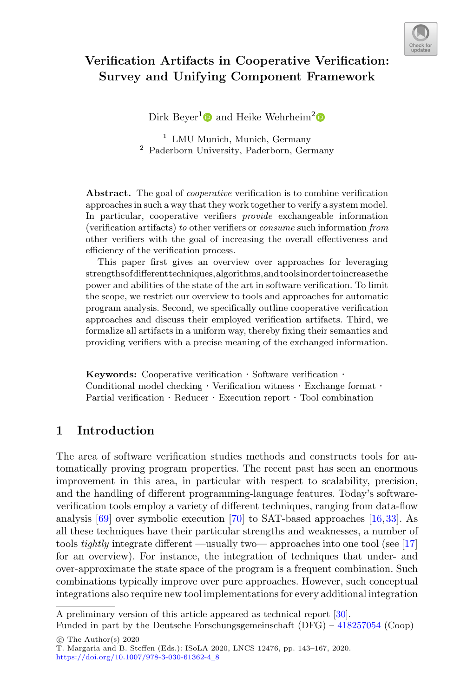

# **Verification Artifacts in Cooperative Verification: Survey and Unifying Component Framework**

Dirk Beyer<sup>[1](http://orcid.org/0000-0003-4832-7662)</sup> and Heike Wehrheim<sup>[2](http://orcid.org/0000-0002-2385-7512)</sup>

<sup>1</sup> LMU Munich, Munich, Germany <sup>2</sup> Paderborn University, Paderborn, Germany

**Abstract.** The goal of *cooperative* verification is to combine verification approaches in such a way that they work together to verify a system model. In particular, cooperative verifiers *provide* exchangeable information (verification artifacts) *to* other verifiers or *consume* such information *from* other verifiers with the goal of increasing the overall effectiveness and efficiency of the verification process.

This paper first gives an overview over approaches for leveraging strengthsofdifferenttechniques,algorithms,andtoolsinordertoincreasethe power and abilities of the state of the art in software verification. To limit the scope, we restrict our overview to tools and approaches for automatic program analysis. Second, we specifically outline cooperative verification approaches and discuss their employed verification artifacts. Third, we formalize all artifacts in a uniform way, thereby fixing their semantics and providing verifiers with a precise meaning of the exchanged information.

**Keywords:** Cooperative verification · Software verification · Conditional model checking · Verification witness · Exchange format · Partial verification · Reducer · Execution report · Tool combination

# **1 Introduction**

The area of software verification studies methods and constructs tools for automatically proving program properties. The recent past has seen an enormous improvement in this area, in particular with respect to scalability, precision, and the handling of different programming-language features. Today's softwareverification tools employ a variety of different techniques, ranging from data-flow analysis [\[69](#page-22-0)] over symbolic execution [\[70](#page-22-1)] to SAT-based approaches [\[16](#page-19-0),[33\]](#page-20-0). As all these techniques have their particular strengths and weaknesses, a number of tools *tightly* integrate different —usually two— approaches into one tool (see [\[17\]](#page-19-1) for an overview). For instance, the integration of techniques that under- and over-approximate the state space of the program is a frequent combination. Such combinations typically improve over pure approaches. However, such conceptual integrations also require new tool implementations for every additional integration

A preliminary version of this article appeared as technical report [\[30](#page-20-1)].

Funded in part by the Deutsche Forschungsgemeinschaft (DFG) – [418257054](http://gepris.dfg.de/gepris/projekt/418257054) (Coop)

 $\odot$  The Author(s) 2020 T. Margaria and B. Steffen (Eds.): ISoLA 2020, LNCS 12476, pp. 143–167, 2020. [https://doi.org/10.1007/978-3-030-61362-4](https://doi.org/10.1007/978-3-030-61362-4_8)\_8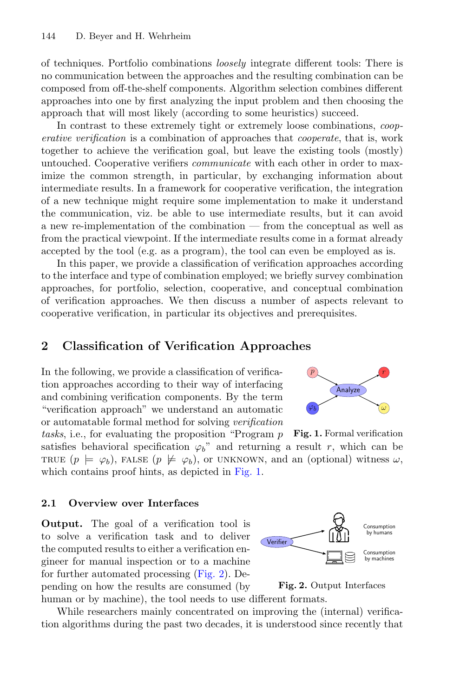of techniques. Portfolio combinations *loosely* integrate different tools: There is no communication between the approaches and the resulting combination can be composed from off-the-shelf components. Algorithm selection combines different approaches into one by first analyzing the input problem and then choosing the approach that will most likely (according to some heuristics) succeed.

In contrast to these extremely tight or extremely loose combinations, *cooperative verification* is a combination of approaches that *cooperate*, that is, work together to achieve the verification goal, but leave the existing tools (mostly) untouched. Cooperative verifiers *communicate* with each other in order to maximize the common strength, in particular, by exchanging information about intermediate results. In a framework for cooperative verification, the integration of a new technique might require some implementation to make it understand the communication, viz. be able to use intermediate results, but it can avoid a new re-implementation of the combination — from the conceptual as well as from the practical viewpoint. If the intermediate results come in a format already accepted by the tool (e.g. as a program), the tool can even be employed as is.

In this paper, we provide a classification of verification approaches according to the interface and type of combination employed; we briefly survey combination approaches, for portfolio, selection, cooperative, and conceptual combination of verification approaches. We then discuss a number of aspects relevant to cooperative verification, in particular its objectives and prerequisites.

## **2 Classification of Verification Approaches**

In the following, we provide a classification of verification approaches according to their way of interfacing and combining verification components. By the term "verification approach" we understand an automatic or automatable formal method for solving *verification*

**Fig. 1.** Formal verification *tasks*, i.e., for evaluating the proposition "Program p satisfies behavioral specification  $\varphi_b$ " and returning a result r, which can be TRUE  $(p \models \varphi_b)$ , FALSE  $(p \not\models \varphi_b)$ , or UNKNOWN, and an (optional) witness  $\omega$ , which contains proof hints, as depicted in [Fig. 1.](#page-1-0)

#### **2.1 Overview over Interfaces**

**Output.** The goal of a verification tool is to solve a verification task and to deliver the computed results to either a verification engineer for manual inspection or to a machine for further automated processing [\(Fig. 2\)](#page-1-1). Depending on how the results are consumed (by

While researchers mainly concentrated on improving the (internal) verification algorithms during the past two decades, it is understood since recently that

<span id="page-1-0"></span>

<span id="page-1-1"></span>

**Fig. 2.** Output Interfaces human or by machine), the tool needs to use different formats.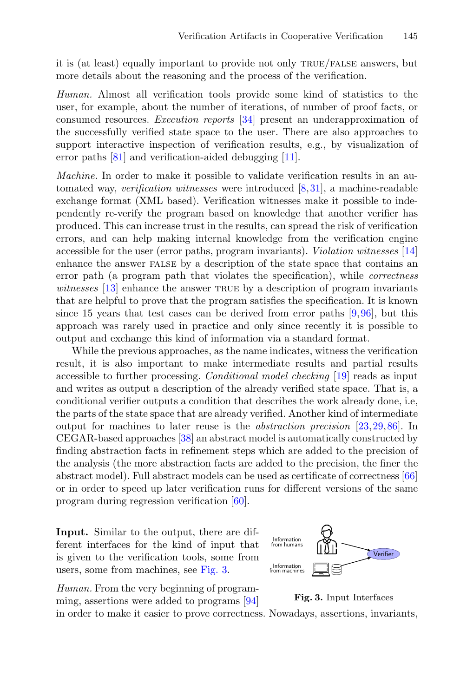it is (at least) equally important to provide not only true/false answers, but more details about the reasoning and the process of the verification.

*Human.* Almost all verification tools provide some kind of statistics to the user, for example, about the number of iterations, of number of proof facts, or consumed resources. *Execution reports* [\[34](#page-20-2)] present an underapproximation of the successfully verified state space to the user. There are also approaches to support interactive inspection of verification results, e.g., by visualization of error paths [\[81\]](#page-23-0) and verification-aided debugging [\[11\]](#page-19-2).

*Machine.* In order to make it possible to validate verification results in an automated way, *verification witnesses* were introduced [\[8,](#page-19-3)[31](#page-20-3)], a machine-readable exchange format (XML based). Verification witnesses make it possible to independently re-verify the program based on knowledge that another verifier has produced. This can increase trust in the results, can spread the risk of verification errors, and can help making internal knowledge from the verification engine accessible for the user (error paths, program invariants). *Violation witnesses* [\[14\]](#page-19-4) enhance the answer false by a description of the state space that contains an error path (a program path that violates the specification), while *correctness witnesses* [\[13\]](#page-19-5) enhance the answer true by a description of program invariants that are helpful to prove that the program satisfies the specification. It is known since 15 years that test cases can be derived from error paths  $[9,96]$  $[9,96]$  $[9,96]$ , but this approach was rarely used in practice and only since recently it is possible to output and exchange this kind of information via a standard format.

While the previous approaches, as the name indicates, witness the verification result, it is also important to make intermediate results and partial results accessible to further processing. *Conditional model checking* [\[19](#page-19-7)] reads as input and writes as output a description of the already verified state space. That is, a conditional verifier outputs a condition that describes the work already done, i.e, the parts of the state space that are already verified. Another kind of intermediate output for machines to later reuse is the *abstraction precision* [\[23,](#page-20-4)[29](#page-20-5)[,86](#page-23-1)]. In CEGAR-based approaches [\[38\]](#page-21-0) an abstract model is automatically constructed by finding abstraction facts in refinement steps which are added to the precision of the analysis (the more abstraction facts are added to the precision, the finer the abstract model). Full abstract models can be used as certificate of correctness [\[66\]](#page-22-2) or in order to speed up later verification runs for different versions of the same program during regression verification [\[60](#page-22-3)].

**Input.** Similar to the output, there are different interfaces for the kind of input that is given to the verification tools, some from users, some from machines, see [Fig. 3.](#page-2-0)





<span id="page-2-0"></span>

in order to make it easier to prove correctness. Nowadays, assertions, invariants,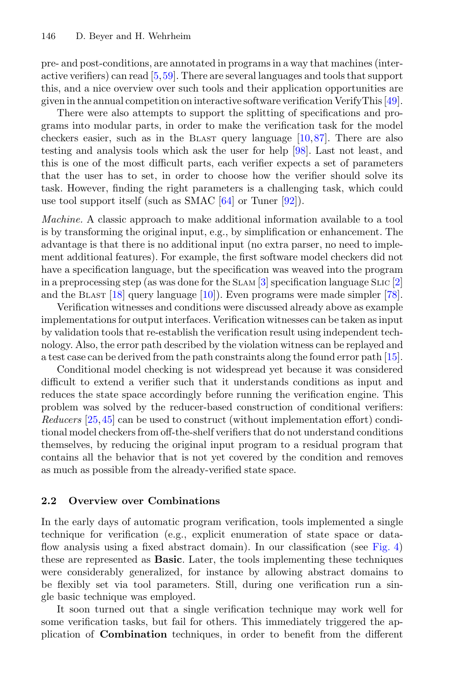pre- and post-conditions, are annotated in programs in a way that machines (interactive verifiers) can read [\[5,](#page-19-8)[59](#page-22-4)]. There are several languages and tools that support this, and a nice overview over such tools and their application opportunities are given in the annual competition on interactive software verification VerifyThis [\[49\]](#page-21-1).

There were also attempts to support the splitting of specifications and programs into modular parts, in order to make the verification task for the model checkers easier, such as in the BLAST query language  $[10,87]$  $[10,87]$  $[10,87]$ . There are also testing and analysis tools which ask the user for help [\[98](#page-24-2)]. Last not least, and this is one of the most difficult parts, each verifier expects a set of parameters that the user has to set, in order to choose how the verifier should solve its task. However, finding the right parameters is a challenging task, which could use tool support itself (such as SMAC [\[64\]](#page-22-5) or Tuner [\[92\]](#page-24-3)).

*Machine.* A classic approach to make additional information available to a tool is by transforming the original input, e.g., by simplification or enhancement. The advantage is that there is no additional input (no extra parser, no need to implement additional features). For example, the first software model checkers did not have a specification language, but the specification was weaved into the program in a preprocessing step (as was done for the SLAM  $[3]$  $[3]$  specification language SLIC  $[2]$  $[2]$ and the BLAST  $[18]$  query language  $[10]$ ). Even programs were made simpler [\[78\]](#page-23-3).

Verification witnesses and conditions were discussed already above as example implementations for output interfaces. Verification witnesses can be taken as input by validation tools that re-establish the verification result using independent technology. Also, the error path described by the violation witness can be replayed and a test case can be derived from the path constraints along the found error path [\[15\]](#page-19-12).

Conditional model checking is not widespread yet because it was considered difficult to extend a verifier such that it understands conditions as input and reduces the state space accordingly before running the verification engine. This problem was solved by the reducer-based construction of conditional verifiers: *Reducers* [\[25](#page-20-6)[,45](#page-21-2)] can be used to construct (without implementation effort) conditional model checkers from off-the-shelf verifiers that do not understand conditions themselves, by reducing the original input program to a residual program that contains all the behavior that is not yet covered by the condition and removes as much as possible from the already-verified state space.

#### **2.2 Overview over Combinations**

In the early days of automatic program verification, tools implemented a single technique for verification (e.g., explicit enumeration of state space or dataflow analysis using a fixed abstract domain). In our classification (see [Fig. 4\)](#page-4-0) these are represented as **Basic**. Later, the tools implementing these techniques were considerably generalized, for instance by allowing abstract domains to be flexibly set via tool parameters. Still, during one verification run a single basic technique was employed.

It soon turned out that a single verification technique may work well for some verification tasks, but fail for others. This immediately triggered the application of **Combination** techniques, in order to benefit from the different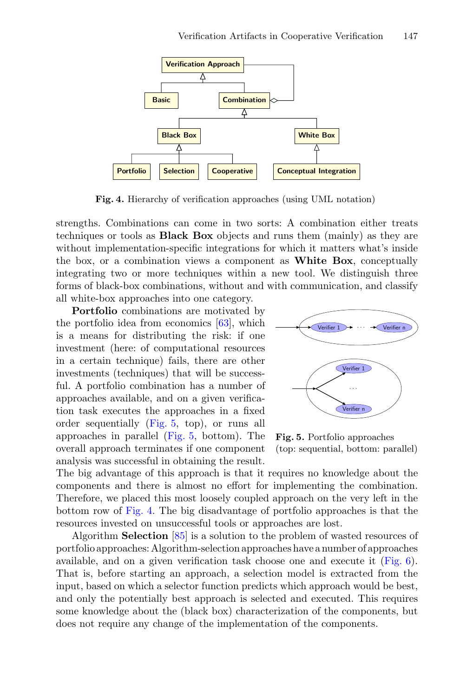

<span id="page-4-0"></span>**Fig. 4.** Hierarchy of verification approaches (using UML notation)

strengths. Combinations can come in two sorts: A combination either treats techniques or tools as **Black Box** objects and runs them (mainly) as they are without implementation-specific integrations for which it matters what's inside the box, or a combination views a component as **White Box**, conceptually integrating two or more techniques within a new tool. We distinguish three forms of black-box combinations, without and with communication, and classify all white-box approaches into one category.

**Portfolio** combinations are motivated by the portfolio idea from economics [\[63\]](#page-22-6), which is a means for distributing the risk: if one investment (here: of computational resources in a certain technique) fails, there are other investments (techniques) that will be successful. A portfolio combination has a number of approaches available, and on a given verification task executes the approaches in a fixed order sequentially [\(Fig. 5,](#page-4-1) top), or runs all approaches in parallel [\(Fig. 5,](#page-4-1) bottom). The overall approach terminates if one component analysis was successful in obtaining the result.



<span id="page-4-1"></span>**Fig. 5.** Portfolio approaches (top: sequential, bottom: parallel)

The big advantage of this approach is that it requires no knowledge about the components and there is almost no effort for implementing the combination. Therefore, we placed this most loosely coupled approach on the very left in the bottom row of [Fig. 4.](#page-4-0) The big disadvantage of portfolio approaches is that the resources invested on unsuccessful tools or approaches are lost.

Algorithm **Selection** [\[85\]](#page-23-4) is a solution to the problem of wasted resources of portfolio approaches: Algorithm-selection approaches have a number of approaches available, and on a given verification task choose one and execute it [\(Fig. 6\)](#page-5-0). That is, before starting an approach, a selection model is extracted from the input, based on which a selector function predicts which approach would be best, and only the potentially best approach is selected and executed. This requires some knowledge about the (black box) characterization of the components, but does not require any change of the implementation of the components.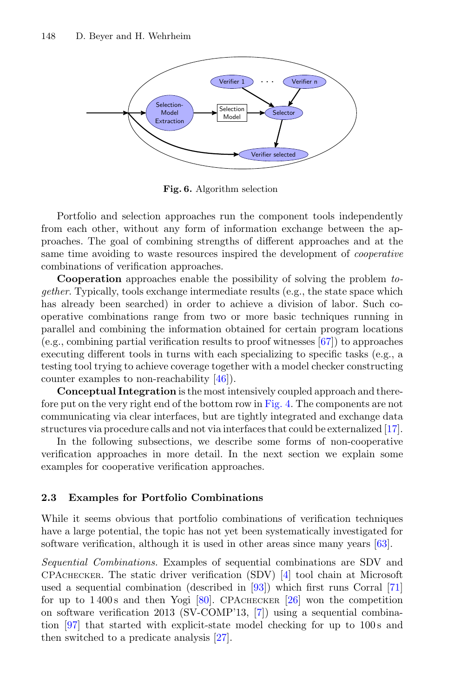

<span id="page-5-0"></span>**Fig. 6.** Algorithm selection

Portfolio and selection approaches run the component tools independently from each other, without any form of information exchange between the approaches. The goal of combining strengths of different approaches and at the same time avoiding to waste resources inspired the development of *cooperative* combinations of verification approaches.

**Cooperation** approaches enable the possibility of solving the problem *together*. Typically, tools exchange intermediate results (e.g., the state space which has already been searched) in order to achieve a division of labor. Such cooperative combinations range from two or more basic techniques running in parallel and combining the information obtained for certain program locations (e.g., combining partial verification results to proof witnesses [\[67](#page-22-7)]) to approaches executing different tools in turns with each specializing to specific tasks (e.g., a testing tool trying to achieve coverage together with a model checker constructing counter examples to non-reachability [\[46](#page-21-3)]).

**Conceptual Integration** is the most intensively coupled approach and therefore put on the very right end of the bottom row in [Fig. 4.](#page-4-0) The components are not communicating via clear interfaces, but are tightly integrated and exchange data structures via procedure calls and not via interfaces that could be externalized [\[17\]](#page-19-1).

In the following subsections, we describe some forms of non-cooperative verification approaches in more detail. In the next section we explain some examples for cooperative verification approaches.

#### **2.3 Examples for Portfolio Combinations**

While it seems obvious that portfolio combinations of verification techniques have a large potential, the topic has not yet been systematically investigated for software verification, although it is used in other areas since many years [\[63](#page-22-6)].

*Sequential Combinations.* Examples of sequential combinations are SDV and CPAchecker. The static driver verification (SDV) [\[4\]](#page-19-13) tool chain at Microsoft used a sequential combination (described in [\[93](#page-24-4)]) which first runs Corral [\[71](#page-22-8)] for up to  $1400s$  and then Yogi [\[80\]](#page-23-5). CPACHECKER [\[26\]](#page-20-7) won the competition on software verification 2013 (SV-COMP'13, [\[7](#page-19-14)]) using a sequential combina-tion [\[97](#page-24-5)] that started with explicit-state model checking for up to 100s and then switched to a predicate analysis [\[27\]](#page-20-8).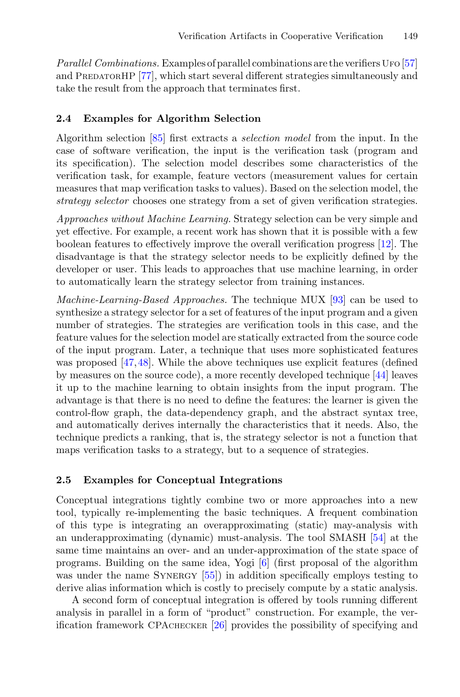*Parallel Combinations.* Examples of parallel combinations are the verifiers UFO [\[57\]](#page-22-9) and PREDATORHP [\[77\]](#page-23-6), which start several different strategies simultaneously and take the result from the approach that terminates first.

### **2.4 Examples for Algorithm Selection**

Algorithm selection [\[85\]](#page-23-4) first extracts a *selection model* from the input. In the case of software verification, the input is the verification task (program and its specification). The selection model describes some characteristics of the verification task, for example, feature vectors (measurement values for certain measures that map verification tasks to values). Based on the selection model, the *strategy selector* chooses one strategy from a set of given verification strategies.

*Approaches without Machine Learning.* Strategy selection can be very simple and yet effective. For example, a recent work has shown that it is possible with a few boolean features to effectively improve the overall verification progress [\[12\]](#page-19-15). The disadvantage is that the strategy selector needs to be explicitly defined by the developer or user. This leads to approaches that use machine learning, in order to automatically learn the strategy selector from training instances.

*Machine-Learning-Based Approaches.* The technique MUX [\[93\]](#page-24-4) can be used to synthesize a strategy selector for a set of features of the input program and a given number of strategies. The strategies are verification tools in this case, and the feature values for the selection model are statically extracted from the source code of the input program. Later, a technique that uses more sophisticated features was proposed [\[47](#page-21-4),[48\]](#page-21-5). While the above techniques use explicit features (defined by measures on the source code), a more recently developed technique [\[44\]](#page-21-6) leaves it up to the machine learning to obtain insights from the input program. The advantage is that there is no need to define the features: the learner is given the control-flow graph, the data-dependency graph, and the abstract syntax tree, and automatically derives internally the characteristics that it needs. Also, the technique predicts a ranking, that is, the strategy selector is not a function that maps verification tasks to a strategy, but to a sequence of strategies.

#### **2.5 Examples for Conceptual Integrations**

Conceptual integrations tightly combine two or more approaches into a new tool, typically re-implementing the basic techniques. A frequent combination of this type is integrating an overapproximating (static) may-analysis with an underapproximating (dynamic) must-analysis. The tool SMASH [\[54](#page-21-7)] at the same time maintains an over- and an under-approximation of the state space of programs. Building on the same idea, Yogi [\[6\]](#page-19-16) (first proposal of the algorithm was under the name SYNERGY [\[55](#page-21-8)]) in addition specifically employs testing to derive alias information which is costly to precisely compute by a static analysis.

A second form of conceptual integration is offered by tools running different analysis in parallel in a form of "product" construction. For example, the verification framework CPAchecker [\[26\]](#page-20-7) provides the possibility of specifying and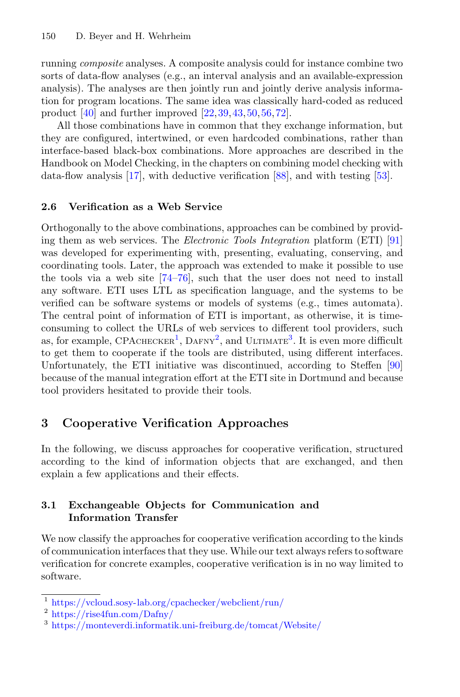running *composite* analyses. A composite analysis could for instance combine two sorts of data-flow analyses (e.g., an interval analysis and an available-expression analysis). The analyses are then jointly run and jointly derive analysis information for program locations. The same idea was classically hard-coded as reduced product  $[40]$  and further improved  $[22, 39, 43, 50, 56, 72]$  $[22, 39, 43, 50, 56, 72]$  $[22, 39, 43, 50, 56, 72]$  $[22, 39, 43, 50, 56, 72]$  $[22, 39, 43, 50, 56, 72]$  $[22, 39, 43, 50, 56, 72]$ .

All those combinations have in common that they exchange information, but they are configured, intertwined, or even hardcoded combinations, rather than interface-based black-box combinations. More approaches are described in the Handbook on Model Checking, in the chapters on combining model checking with data-flow analysis [\[17](#page-19-1)], with deductive verification [\[88\]](#page-23-7), and with testing [\[53](#page-21-13)].

### **2.6 Verification as a Web Service**

Orthogonally to the above combinations, approaches can be combined by providing them as web services. The *Electronic Tools Integration* platform (ETI) [\[91](#page-24-6)] was developed for experimenting with, presenting, evaluating, conserving, and coordinating tools. Later, the approach was extended to make it possible to use the tools via a web site [\[74](#page-23-8)[–76\]](#page-23-9), such that the user does not need to install any software. ETI uses LTL as specification language, and the systems to be verified can be software systems or models of systems (e.g., times automata). The central point of information of ETI is important, as otherwise, it is timeconsuming to collect the URLs of web services to different tool providers, such as, for example, CPACHECKER<sup>[1](#page-7-0)</sup>, DAFNY<sup>[2](#page-7-1)</sup>, and ULTIMATE<sup>[3](#page-7-2)</sup>. It is even more difficult to get them to cooperate if the tools are distributed, using different interfaces. Unfortunately, the ETI initiative was discontinued, according to Steffen [\[90](#page-23-10)] because of the manual integration effort at the ETI site in Dortmund and because tool providers hesitated to provide their tools.

# **3 Cooperative Verification Approaches**

In the following, we discuss approaches for cooperative verification, structured according to the kind of information objects that are exchanged, and then explain a few applications and their effects.

## **3.1 Exchangeable Objects for Communication and Information Transfer**

We now classify the approaches for cooperative verification according to the kinds of communication interfaces that they use. While our text always refers to software verification for concrete examples, cooperative verification is in no way limited to software.

<span id="page-7-0"></span> $^{\rm 1}$ <https://vcloud.sosy-lab.org/cpachecker/webclient/run/>

<span id="page-7-1"></span><sup>2</sup> <https://rise4fun.com/Dafny/>

<span id="page-7-2"></span><sup>3</sup> <https://monteverdi.informatik.uni-freiburg.de/tomcat/Website/>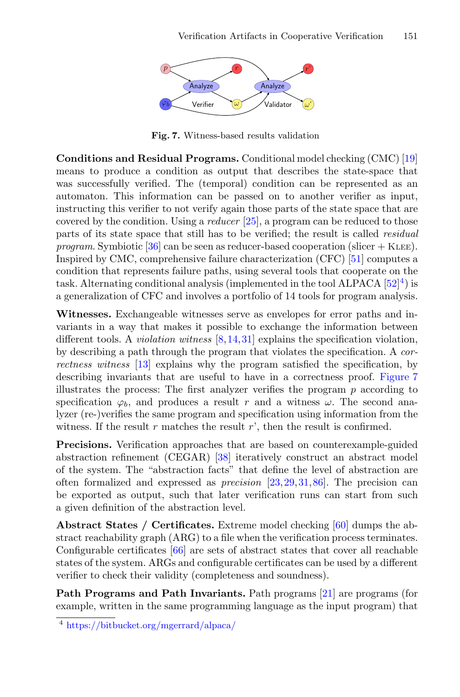

<span id="page-8-1"></span>**Fig. 7.** Witness-based results validation

**Conditions and Residual Programs.** Conditional model checking (CMC) [\[19\]](#page-19-7) means to produce a condition as output that describes the state-space that was successfully verified. The (temporal) condition can be represented as an automaton. This information can be passed on to another verifier as input, instructing this verifier to not verify again those parts of the state space that are covered by the condition. Using a *reducer* [\[25\]](#page-20-6), a program can be reduced to those parts of its state space that still has to be verified; the result is called *residual program*. Symbiotic  $[36]$  $[36]$  can be seen as reducer-based cooperation (slicer + KLEE). Inspired by CMC, comprehensive failure characterization (CFC) [\[51](#page-21-14)] computes a condition that represents failure paths, using several tools that cooperate on the task. Alternating conditional analysis (implemented in the tool ALPACA  $[52]^4$  $[52]^4$  $[52]^4$ ) is a generalization of CFC and involves a portfolio of 14 tools for program analysis.

**Witnesses.** Exchangeable witnesses serve as envelopes for error paths and invariants in a way that makes it possible to exchange the information between different tools. A *violation witness* [\[8](#page-19-3)[,14](#page-19-4)[,31](#page-20-3)] explains the specification violation, by describing a path through the program that violates the specification. A *correctness witness* [\[13\]](#page-19-5) explains why the program satisfied the specification, by describing invariants that are useful to have in a correctness proof. [Figure 7](#page-8-1) illustrates the process: The first analyzer verifies the program  $p$  according to specification  $\varphi_b$ , and produces a result r and a witness  $\omega$ . The second analyzer (re-)verifies the same program and specification using information from the witness. If the result  $r$  matches the result  $r'$ , then the result is confirmed.

**Precisions.** Verification approaches that are based on counterexample-guided abstraction refinement (CEGAR) [\[38](#page-21-0)] iteratively construct an abstract model of the system. The "abstraction facts" that define the level of abstraction are often formalized and expressed as *precision* [\[23,](#page-20-4)[29,](#page-20-5)[31](#page-20-3)[,86\]](#page-23-1). The precision can be exported as output, such that later verification runs can start from such a given definition of the abstraction level.

**Abstract States / Certificates.** Extreme model checking [\[60\]](#page-22-3) dumps the abstract reachability graph (ARG) to a file when the verification process terminates. Configurable certificates [\[66](#page-22-2)] are sets of abstract states that cover all reachable states of the system. ARGs and configurable certificates can be used by a different verifier to check their validity (completeness and soundness).

**Path Programs and Path Invariants.** Path programs [\[21](#page-20-11)] are programs (for example, written in the same programming language as the input program) that

<span id="page-8-0"></span><sup>4</sup> <https://bitbucket.org/mgerrard/alpaca/>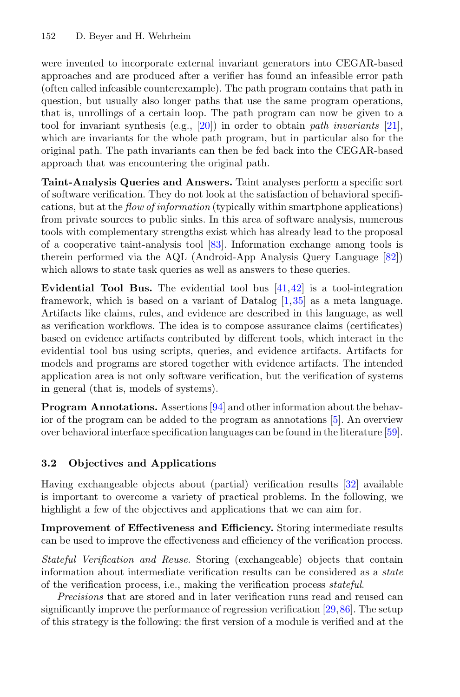were invented to incorporate external invariant generators into CEGAR-based approaches and are produced after a verifier has found an infeasible error path (often called infeasible counterexample). The path program contains that path in question, but usually also longer paths that use the same program operations, that is, unrollings of a certain loop. The path program can now be given to a tool for invariant synthesis (e.g., [\[20\]](#page-20-12)) in order to obtain *path invariants* [\[21\]](#page-20-11), which are invariants for the whole path program, but in particular also for the original path. The path invariants can then be fed back into the CEGAR-based approach that was encountering the original path.

**Taint-Analysis Queries and Answers.** Taint analyses perform a specific sort of software verification. They do not look at the satisfaction of behavioral specifications, but at the *flow of information* (typically within smartphone applications) from private sources to public sinks. In this area of software analysis, numerous tools with complementary strengths exist which has already lead to the proposal of a cooperative taint-analysis tool [\[83](#page-23-11)]. Information exchange among tools is therein performed via the AQL (Android-App Analysis Query Language [\[82\]](#page-23-12)) which allows to state task queries as well as answers to these queries.

**Evidential Tool Bus.** The evidential tool bus [\[41,](#page-21-16)[42](#page-21-17)] is a tool-integration framework, which is based on a variant of Datalog  $[1,35]$  $[1,35]$  as a meta language. Artifacts like claims, rules, and evidence are described in this language, as well as verification workflows. The idea is to compose assurance claims (certificates) based on evidence artifacts contributed by different tools, which interact in the evidential tool bus using scripts, queries, and evidence artifacts. Artifacts for models and programs are stored together with evidence artifacts. The intended application area is not only software verification, but the verification of systems in general (that is, models of systems).

**Program Annotations.** Assertions [\[94\]](#page-24-1) and other information about the behavior of the program can be added to the program as annotations [\[5](#page-19-8)]. An overview over behavioral interface specification languages can be found in the literature [\[59\]](#page-22-4).

# **3.2 Objectives and Applications**

Having exchangeable objects about (partial) verification results [\[32](#page-20-14)] available is important to overcome a variety of practical problems. In the following, we highlight a few of the objectives and applications that we can aim for.

**Improvement of Effectiveness and Efficiency.** Storing intermediate results can be used to improve the effectiveness and efficiency of the verification process.

*Stateful Verification and Reuse.* Storing (exchangeable) objects that contain information about intermediate verification results can be considered as a *state* of the verification process, i.e., making the verification process *stateful*.

*Precisions* that are stored and in later verification runs read and reused can significantly improve the performance of regression verification [\[29](#page-20-5),[86\]](#page-23-1). The setup of this strategy is the following: the first version of a module is verified and at the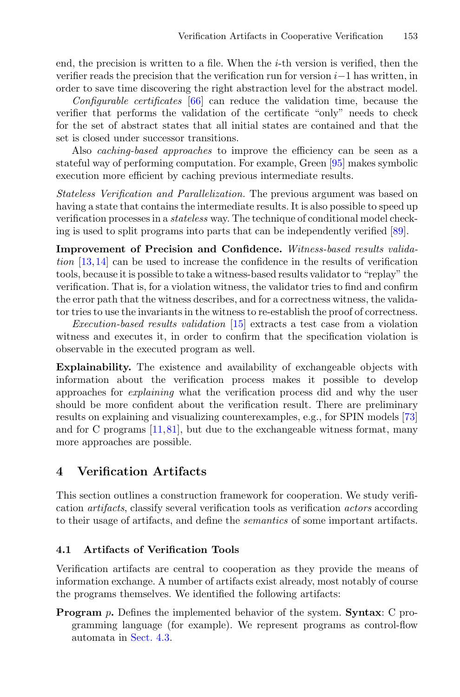end, the precision is written to a file. When the  $i$ -th version is verified, then the verifier reads the precision that the verification run for version  $i-1$  has written, in order to save time discovering the right abstraction level for the abstract model.

*Configurable certificates* [\[66](#page-22-2)] can reduce the validation time, because the verifier that performs the validation of the certificate "only" needs to check for the set of abstract states that all initial states are contained and that the set is closed under successor transitions.

Also *caching-based approaches* to improve the efficiency can be seen as a stateful way of performing computation. For example, Green [\[95](#page-24-7)] makes symbolic execution more efficient by caching previous intermediate results.

*Stateless Verification and Parallelization.* The previous argument was based on having a state that contains the intermediate results. It is also possible to speed up verification processes in a *stateless* way. The technique of conditional model checking is used to split programs into parts that can be independently verified [\[89](#page-23-13)].

**Improvement of Precision and Confidence.** *Witness-based results validation* [\[13](#page-19-5)[,14](#page-19-4)] can be used to increase the confidence in the results of verification tools, because it is possible to take a witness-based results validator to "replay" the verification. That is, for a violation witness, the validator tries to find and confirm the error path that the witness describes, and for a correctness witness, the validator tries to use the invariants in the witness to re-establish the proof of correctness.

*Execution-based results validation* [\[15\]](#page-19-12) extracts a test case from a violation witness and executes it, in order to confirm that the specification violation is observable in the executed program as well.

**Explainability.** The existence and availability of exchangeable objects with information about the verification process makes it possible to develop approaches for *explaining* what the verification process did and why the user should be more confident about the verification result. There are preliminary results on explaining and visualizing counterexamples, e.g., for SPIN models [\[73\]](#page-22-12) and for C programs  $[11,81]$  $[11,81]$  $[11,81]$ , but due to the exchangeable witness format, many more approaches are possible.

## **4 Verification Artifacts**

This section outlines a construction framework for cooperation. We study verification *artifacts*, classify several verification tools as verification *actors* according to their usage of artifacts, and define the *semantics* of some important artifacts.

### **4.1 Artifacts of Verification Tools**

Verification artifacts are central to cooperation as they provide the means of information exchange. A number of artifacts exist already, most notably of course the programs themselves. We identified the following artifacts:

**Program** p**.** Defines the implemented behavior of the system. **Syntax**: C programming language (for example). We represent programs as control-flow automata in [Sect. 4.3.](#page-13-0)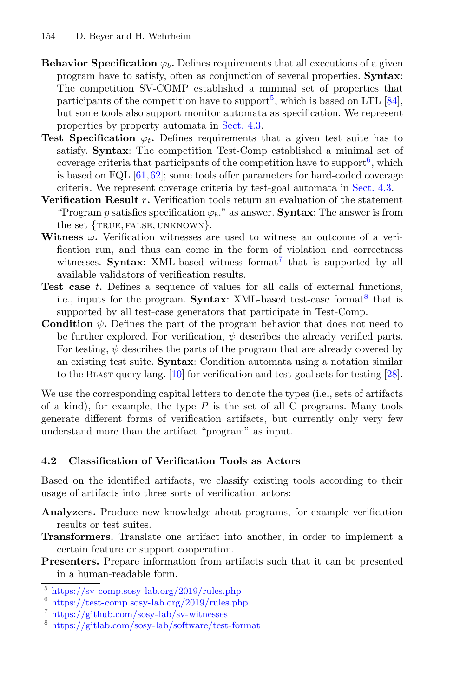- **Behavior Specification**  $\varphi_b$ . Defines requirements that all executions of a given program have to satisfy, often as conjunction of several properties. **Syntax**: The competition SV-COMP established a minimal set of properties that participants of the competition have to support<sup>[5](#page-11-0)</sup>, which is based on LTL  $[84]$ , but some tools also support monitor automata as specification. We represent properties by property automata in [Sect. 4.3.](#page-13-0)
- **Test Specification**  $\varphi_t$ . Defines requirements that a given test suite has to satisfy. **Syntax**: The competition Test-Comp established a minimal set of coverage criteria that participants of the competition have to support<sup>[6](#page-11-1)</sup>, which is based on FQL [\[61,](#page-22-13)[62\]](#page-22-14); some tools offer parameters for hard-coded coverage criteria. We represent coverage criteria by test-goal automata in [Sect. 4.3.](#page-13-0)
- **Verification Result** r. Verification tools return an evaluation of the statement "Program p satisfies specification  $\varphi_b$ ." as answer. **Syntax**: The answer is from the set  $\{TRUE, FALSE, UNKNOWN\}.$
- **Witness**  $\omega$ . Verification witnesses are used to witness an outcome of a verification run, and thus can come in the form of violation and correctness witnesses. **Syntax**: XML-based witness format<sup>[7](#page-11-2)</sup> that is supported by all available validators of verification results.
- **Test case** t. Defines a sequence of values for all calls of external functions, i.e., inputs for the program. **Syntax**: XML-based test-case format<sup>[8](#page-11-3)</sup> that is supported by all test-case generators that participate in Test-Comp.
- **Condition**  $\psi$ . Defines the part of the program behavior that does not need to be further explored. For verification,  $\psi$  describes the already verified parts. For testing,  $\psi$  describes the parts of the program that are already covered by an existing test suite. **Syntax**: Condition automata using a notation similar to the Blast query lang. [\[10\]](#page-19-9) for verification and test-goal sets for testing [\[28\]](#page-20-15).

We use the corresponding capital letters to denote the types (i.e., sets of artifacts of a kind), for example, the type  $P$  is the set of all C programs. Many tools generate different forms of verification artifacts, but currently only very few understand more than the artifact "program" as input.

## **4.2 Classification of Verification Tools as Actors**

Based on the identified artifacts, we classify existing tools according to their usage of artifacts into three sorts of verification actors:

- **Analyzers.** Produce new knowledge about programs, for example verification results or test suites.
- **Transformers.** Translate one artifact into another, in order to implement a certain feature or support cooperation.
- **Presenters.** Prepare information from artifacts such that it can be presented in a human-readable form.

<span id="page-11-0"></span><sup>5</sup> <https://sv-comp.sosy-lab.org/2019/rules.php>

<span id="page-11-1"></span><sup>6</sup> <https://test-comp.sosy-lab.org/2019/rules.php>

<span id="page-11-2"></span><sup>7</sup> <https://github.com/sosy-lab/sv-witnesses>

<span id="page-11-3"></span><sup>8</sup> <https://gitlab.com/sosy-lab/software/test-format>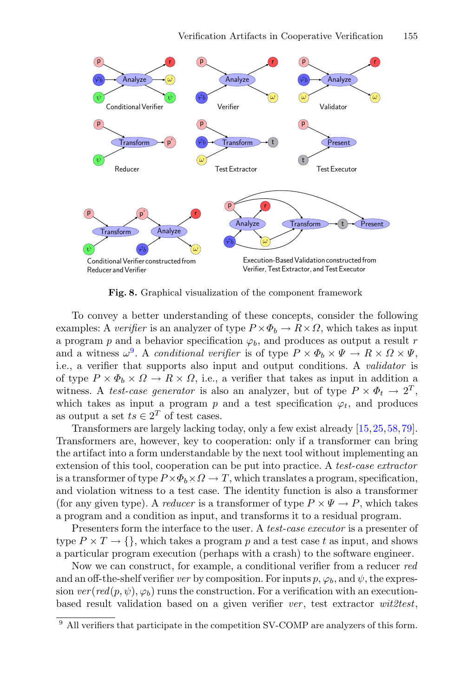

<span id="page-12-1"></span>**Fig. 8.** Graphical visualization of the component framework

To convey a better understanding of these concepts, consider the following examples: A *verifier* is an analyzer of type  $P \times \Phi_b \to R \times \Omega$ , which takes as input a program p and a behavior specification  $\varphi_b$ , and produces as output a result r and a witness  $\omega^9$  $\omega^9$ . A *conditional verifier* is of type  $P \times \Phi_b \times \Psi \to R \times \Omega \times \Psi$ , i.e., a verifier that supports also input and output conditions. A *validator* is of type  $P \times \Phi_b \times \Omega \to R \times \Omega$ , i.e., a verifier that takes as input in addition a witness. A *test-case generator* is also an analyzer, but of type  $P \times \Phi_t \to 2^T$ , which takes as input a program p and a test specification  $\varphi_t$ , and produces as output a set  $ts \in 2^T$  of test cases.

Transformers are largely lacking today, only a few exist already [\[15](#page-19-12)[,25](#page-20-6)[,58](#page-22-15),[79\]](#page-23-15). Transformers are, however, key to cooperation: only if a transformer can bring the artifact into a form understandable by the next tool without implementing an extension of this tool, cooperation can be put into practice. A *test-case extractor* is a transformer of type  $P \times \Phi_b \times \Omega \to T$ , which translates a program, specification, and violation witness to a test case. The identity function is also a transformer (for any given type). A *reducer* is a transformer of type  $P \times \Psi \to P$ , which takes a program and a condition as input, and transforms it to a residual program.

Presenters form the interface to the user. A *test-case executor* is a presenter of type  $P \times T \to \{\}$ , which takes a program p and a test case t as input, and shows a particular program execution (perhaps with a crash) to the software engineer.

Now we can construct, for example, a conditional verifier from a reducer *red* and an off-the-shelf verifier *ver* by composition. For inputs  $p, \varphi_b$ , and  $\psi$ , the expression  $ver(\text{red}(p, \psi), \varphi_b)$  runs the construction. For a verification with an executionbased result validation based on a given verifier *ver* , test extractor *wit2test*,

<span id="page-12-0"></span> $9\,$  All verifiers that participate in the competition SV-COMP are analyzers of this form.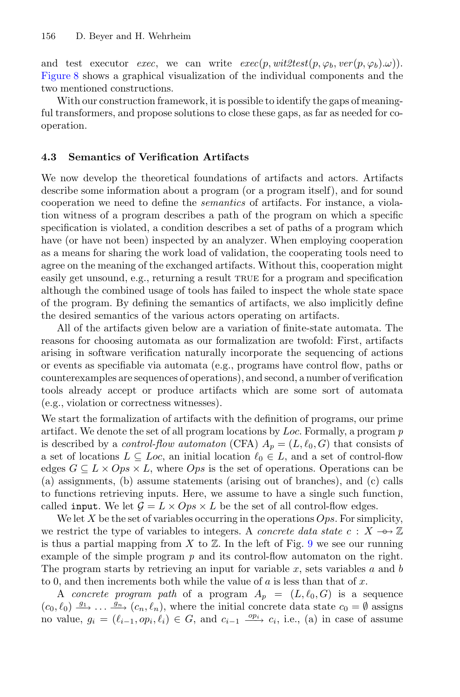and test executor *exec*, we can write  $exec(p, wit2test(p, \varphi_b, ver(p, \varphi_b). \omega)).$ [Figure 8](#page-12-1) shows a graphical visualization of the individual components and the two mentioned constructions.

With our construction framework, it is possible to identify the gaps of meaningful transformers, and propose solutions to close these gaps, as far as needed for cooperation.

#### <span id="page-13-0"></span>**4.3 Semantics of Verification Artifacts**

We now develop the theoretical foundations of artifacts and actors. Artifacts describe some information about a program (or a program itself), and for sound cooperation we need to define the *semantics* of artifacts. For instance, a violation witness of a program describes a path of the program on which a specific specification is violated, a condition describes a set of paths of a program which have (or have not been) inspected by an analyzer. When employing cooperation as a means for sharing the work load of validation, the cooperating tools need to agree on the meaning of the exchanged artifacts. Without this, cooperation might easily get unsound, e.g., returning a result TRUE for a program and specification although the combined usage of tools has failed to inspect the whole state space of the program. By defining the semantics of artifacts, we also implicitly define the desired semantics of the various actors operating on artifacts.

All of the artifacts given below are a variation of finite-state automata. The reasons for choosing automata as our formalization are twofold: First, artifacts arising in software verification naturally incorporate the sequencing of actions or events as specifiable via automata (e.g., programs have control flow, paths or counterexamples are sequences of operations), and second, a number of verification tools already accept or produce artifacts which are some sort of automata (e.g., violation or correctness witnesses).

We start the formalization of artifacts with the definition of programs, our prime artifact. We denote the set of all program locations by Loc. Formally, a program *<sup>p</sup>* is described by a *control-flow automaton* (CFA)  $A_p = (L, \ell_0, G)$  that consists of a set of locations  $L \subseteq Loc$ , an initial location  $\ell_0 \in L$ , and a set of control-flow edges  $G \subseteq L \times Ops \times L$ , where  $Ops$  is the set of operations. Operations can be (a) assignments, (b) assume statements (arising out of branches), and (c) calls to functions retrieving inputs. Here, we assume to have a single such function, called input. We let  $G = L \times Ops \times L$  be the set of all control-flow edges.

We let X be the set of variables occurring in the operations  $Ops$ . For simplicity, we restrict the type of variables to integers. A *concrete data state*  $c : X \rightarrow \mathbb{Z}$ is thus a partial mapping from  $X$  to  $\mathbb{Z}$ . In the left of Fig. [9](#page-14-0) we see our running example of the simple program *p* and its control-flow automaton on the right. The program starts by retrieving an input for variable x, sets variables  $a$  and  $b$ to 0, and then increments both while the value of  $\alpha$  is less than that of  $x$ .

A *concrete program path* of a program  $A_p = (L, \ell_0, G)$  is a sequence  $(c_0, \ell_0) \frac{g_1}{g_1}, \ldots \frac{g_n}{g_n}$   $(c_n, \ell_n)$ , where the initial concrete data state  $c_0 = \emptyset$  assigns<br>no value  $a_i = (\ell_{i+1}, a_i, \ell_i) \in G$  and  $c_{i+1} \frac{g p_i}{g_i}$ ,  $c_i$  i.e. (a) in case of assume  $(c_0, c_0) \xrightarrow{c_0} \cdots \xrightarrow{c_n} (c_n, c_n)$ , where the finitial concrete data state  $c_0 = \nu$  assigns<br>no value,  $g_i = (\ell_{i-1}, op_i, \ell_i) \in G$ , and  $c_{i-1} \xrightarrow{op_i} c_i$ , i.e., (a) in case of assume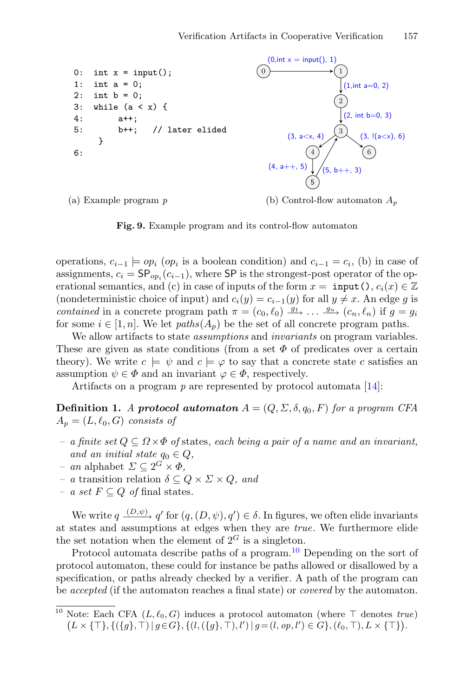

(a) Example program *p*

(b) Control-flow automaton *A<sup>p</sup>*

<span id="page-14-0"></span>**Fig. 9.** Example program and its control-flow automaton

operations,  $c_{i-1} \models op_i (op_i \text{ is a boolean condition})$  and  $c_{i-1} = c_i$ , (b) in case of assignments,  $c_i = \mathsf{SP}_{op_i}(c_{i-1})$ , where  $\mathsf{SP}$  is the strongest-post operator of the operational semantics, and (c) in case of inputs of the form  $x = \text{input}(x), c_i(x) \in \mathbb{Z}$ (nondeterministic choice of input) and  $c_i(y) = c_{i-1}(y)$  for all  $y \neq x$ . An edge g is<br>contained in a concrete program path  $\pi = (c_0, \ell_0)$   $\frac{g_1}{g_1}$ ,  $\frac{g_n}{g_2}$ ,  $(c_0, \ell_0)$  if  $a = a$ . *contained* in a concrete program path  $\pi = (c_0, l_0) \frac{g_1}{g_2} \dots \frac{g_n}{g_n}$   $(c_n, l_n)$  if  $g = g_i$ <br>for some  $i \in [1, n]$ . We let *naths*(A) be the set of all concrete program paths for some  $i \in [1, n]$ . We let  $paths(A_p)$  be the set of all concrete program paths.<br>We allow artifacts to state *assumptions* and *invariants* on program variable

We allow artifacts to state *assumptions* and *invariants* on program variables. These are given as state conditions (from a set  $\Phi$  of predicates over a certain theory). We write  $c \models \psi$  and  $c \models \varphi$  to say that a concrete state c satisfies an assumption  $\psi \in \Phi$  and an invariant  $\varphi \in \Phi$ , respectively.

Artifacts on a program *p* are represented by protocol automata [\[14\]](#page-19-4):

**Definition 1.** *A protocol automaton*  $A = (Q, \Sigma, \delta, q_0, F)$  *for a program CFA*  $A_p = (L, \ell_0, G)$  *consists of* 

- *a finite set* Q <sup>⊆</sup> Ω×Φ *of* states*, each being a pair of a name and an invariant, and an initial state*  $q_0 \in Q$ ,
- *an* alphabet  $\Sigma \subseteq 2^G \times \Phi$ ,
- *a* transition relation  $\delta \subseteq Q \times \Sigma \times Q$ , and
- $$

We write  $q \xrightarrow{(D,\psi)} q'$  for  $(q,(D,\psi), q') \in \delta$ . In figures, we often elide invariants<br>states and assumptions at edges when they are *true*. We furthermore elide at states and assumptions at edges when they are *true*. We furthermore elide the set notation when the element of  $2^G$  is a singleton.

Protocol automata describe paths of a program.<sup>[10](#page-14-1)</sup> Depending on the sort of protocol automaton, these could for instance be paths allowed or disallowed by a specification, or paths already checked by a verifier. A path of the program can be *accepted* (if the automaton reaches a final state) or *covered* by the automaton.

<span id="page-14-1"></span><sup>&</sup>lt;sup>10</sup> Note: Each CFA  $(L, \ell_0, G)$  induces a protocol automaton (where  $\top$  denotes *true*)<br> $(L \times \bot \top)$   $I(L)$   $\top$   $I(L)$   $I(L)$   $\top$   $I(L)$   $I(L)$   $\top$   $I(L)$   $I(L)$   $I(L)$   $I(L)$   $I(L)$   $I(L)$   $I(L)$   $I(L)$   $I(L)$   $I(L)$   $I(L)$  $(L \times {\top}, \{(\{g\}, \top) | g \in G\}, \{((, (\{g\}, \top), l') | g = (l, op, l') \in G\}, (\ell_0, \top), L \times {\top}\}).$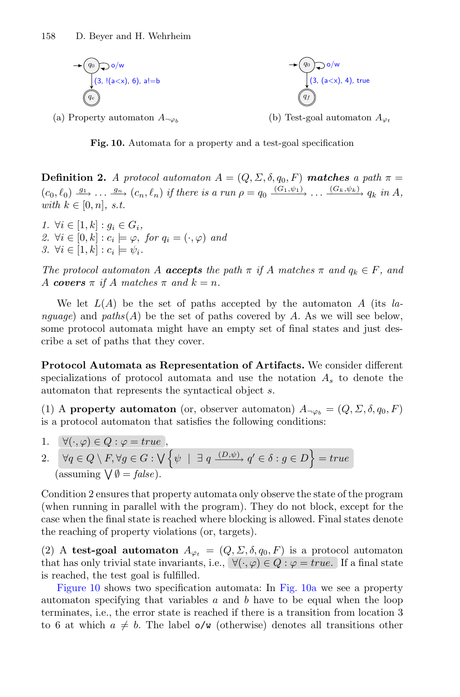

<span id="page-15-0"></span>**Fig. 10.** Automata for a property and a test-goal specification

**Definition 2.** *A protocol automaton*  $A = (Q, \Sigma, \delta, q_0, F)$  **matches** *a path*  $\pi =$  $(c_0, \ell_0) \stackrel{g_1}{\longrightarrow} \ldots \stackrel{g_n}{\longrightarrow} (c_n, \ell_n)$  *if there is a run*  $\rho = q_0 \stackrel{(G_1, \psi_1)}{\longrightarrow} \ldots \stackrel{(G_k, \psi_k)}{\longrightarrow} q_k$  *in A,*<br>*with*  $k \in [0, n]$  s *t* 

*with*  $k \in [0, n]$ *, s.t.*<br>*1.*  $\forall i \in [1, k] : g_i \in G_i$ *, 1.*  $\forall i \in [1, k] : g_i \in G_i,$ <br>  $g \quad \forall i \in [0, k] : c_i \models \varnothing$ 2.  $\forall i \in [0, k] : c_i \models \varphi$ , for  $q_i = (\cdot, \varphi)$  and <br>  $\forall i \in [1, k] : c_i \models \psi_i$ *3.*  $\forall i \in [1, k] : c_i \models \psi_i$ .

*The protocol automaton* A *accepts* the path  $\pi$  *if* A *matches*  $\pi$  *and*  $q_k \in F$ *, and* A *covers*  $\pi$  *if* A matches  $\pi$  and  $k = n$ .

We let L(A) be the set of paths accepted by the automaton A (its *language*) and *paths* $(A)$  be the set of paths covered by A. As we will see below, some protocol automata might have an empty set of final states and just describe a set of paths that they cover.

**Protocol Automata as Representation of Artifacts.** We consider different specializations of protocol automata and use the notation  $A_s$  to denote the automaton that represents the syntactical object s.

(1) A **property automaton** (or, observer automaton)  $A_{\neg \varphi_b} = (Q, \Sigma, \delta, q_0, F)$ is a protocol automaton that satisfies the following conditions:

- 1.  $\forall (\cdot, \varphi) \in Q : \varphi = true$ ,
- 2.  $\forall q \in Q \setminus F, \forall g \in G : \bigvee \{\psi \mid \exists q \stackrel{(D,\psi)}{\longrightarrow} q' \in \delta : g \in D\} = true$ (assuming  $\bigvee \emptyset = false$ ).

Condition 2 ensures that property automata only observe the state of the program (when running in parallel with the program). They do not block, except for the case when the final state is reached where blocking is allowed. Final states denote the reaching of property violations (or, targets).

(2) A **test-goal automaton**  $A_{\varphi_t} = (Q, \Sigma, \delta, q_0, F)$  is a protocol automaton that has only trivial state invariants, i.e.,  $\forall (\cdot, \varphi) \in Q : \varphi = true$ . If a final state is reached, the test goal is fulfilled.

[Figure 10](#page-15-0) shows two specification automata: In [Fig. 10a](#page-15-0) we see a property automaton specifying that variables  $a$  and  $b$  have to be equal when the loop terminates, i.e., the error state is reached if there is a transition from location 3 to 6 at which  $a \neq b$ . The label  $\circ/\mathbf{w}$  (otherwise) denotes all transitions other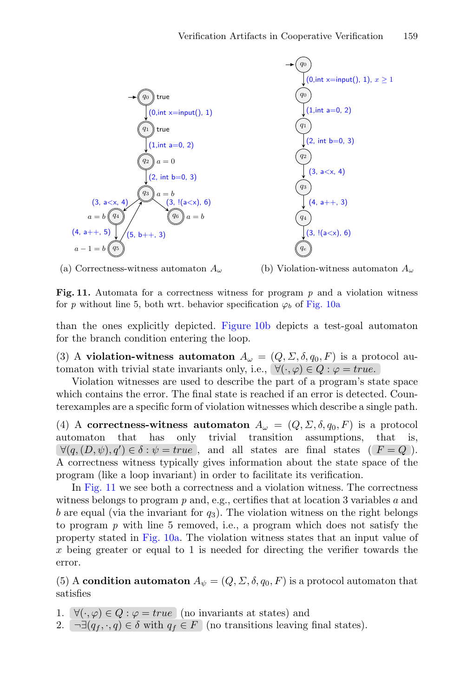

(a) Correctness-witness automaton *A<sup>ω</sup>*

(b) Violation-witness automaton *A<sup>ω</sup>*

<span id="page-16-0"></span>**Fig. 11.** Automata for a correctness witness for program *p* and a violation witness for *p* without line 5, both wrt. behavior specification  $\varphi_b$  of [Fig. 10a](#page-15-0)

than the ones explicitly depicted. [Figure 10b](#page-15-0) depicts a test-goal automaton for the branch condition entering the loop.

(3) A **violation-witness automaton**  $A_\omega = (Q, \Sigma, \delta, q_0, F)$  is a protocol automaton with trivial state invariants only, i.e.,  $\forall (\cdot, \varphi) \in Q : \varphi = true$ .

Violation witnesses are used to describe the part of a program's state space which contains the error. The final state is reached if an error is detected. Counterexamples are a specific form of violation witnesses which describe a single path.

(4) A **correctness-witness automaton**  $A_{\omega} = (Q, \Sigma, \delta, q_0, F)$  is a protocol automaton that has only trivial transition assumptions, that is, trivial transition assumptions, that is,  $\forall (q, (D, \psi), q') \in \delta : \psi = true$ , and all states are final states ( $F = Q$ ).<br>Correctness witness typically gives information about the state space of the A correctness witness typically gives information about the state space of the program (like a loop invariant) in order to facilitate its verification.

In [Fig. 11](#page-16-0) we see both a correctness and a violation witness. The correctness witness belongs to program *<sup>p</sup>* and, e.g., certifies that at location 3 variables a and b are equal (via the invariant for  $q_3$ ). The violation witness on the right belongs to program *p* with line 5 removed, i.e., a program which does not satisfy the property stated in [Fig. 10a.](#page-15-0) The violation witness states that an input value of x being greater or equal to 1 is needed for directing the verifier towards the error.

(5) A **condition automaton**  $A_{\psi} = (Q, \Sigma, \delta, q_0, F)$  is a protocol automaton that satisfies

- 1.  $\forall (\cdot, \varphi) \in Q : \varphi = true$  (no invariants at states) and
- 2.  $\neg \exists (q_f, \cdot, q) \in \delta$  with  $q_f \in F \mid$  (no transitions leaving final states).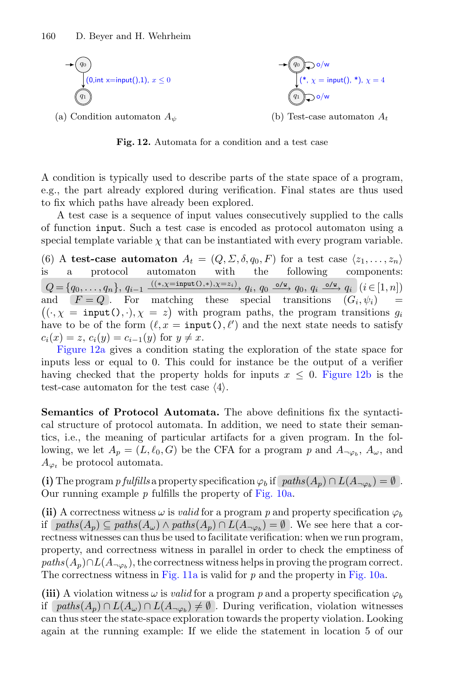

$$
\begin{array}{c}\n\hline\n\text{40} \\
\hline\n\text{40} \\
\hline\n\text{40} \\
\hline\n\text{41} \\
\hline\n\text{42} \\
\hline\n\text{43} \\
\hline\n\text{44} \\
\hline\n\text{45} \\
\hline\n\text{46} \\
\hline\n\text{47} \\
\hline\n\text{48} \\
\hline\n\text{49} \\
\hline\n\text{40} \\
\hline\n\text{40} \\
\hline\n\text{40} \\
\hline\n\text{40} \\
\hline\n\text{40} \\
\hline\n\text{40} \\
\hline\n\text{40} \\
\hline\n\text{40} \\
\hline\n\text{40} \\
\hline\n\text{40} \\
\hline\n\text{40} \\
\hline\n\text{40} \\
\hline\n\text{40} \\
\hline\n\text{40} \\
\hline\n\text{40} \\
\hline\n\text{40} \\
\hline\n\text{40} \\
\hline\n\text{40} \\
\hline\n\text{40} \\
\hline\n\text{40} \\
\hline\n\text{40} \\
\hline\n\text{40} \\
\hline\n\text{40} \\
\hline\n\text{40} \\
\hline\n\text{40} \\
\hline\n\text{40} \\
\hline\n\text{40} \\
\hline\n\text{40} \\
\hline\n\text{40} \\
\hline\n\text{40} \\
\hline\n\text{40} \\
\hline\n\text{40} \\
\hline\n\text{40} \\
\hline\n\text{40} \\
\hline\n\text{40} \\
\hline\n\text{40} \\
\hline\n\text{40} \\
\hline\n\text{40} \\
\hline\n\text{40} \\
\hline\n\text{40} \\
\hline\n\text{40} \\
\hline\n\text{40} \\
\hline\n\text{40} \\
\hline\n\text{40} \\
\hline\n\text{40} \\
\hline\n\text{40} \\
\hline\n\text{40} \\
\hline\n\text{40} \\
\hline\n\text{40} \\
\hline\n\text{40} \\
\hline\n\text{40} \\
\hline\n\text{40} \\
\hline\n\text{40} \\
\hline\n\text{40} \\
\hline\n\text{40} \\
\hline\n\text{40} \\
\hline
$$

(b) Test-case automaton *A<sup>t</sup>*

<span id="page-17-0"></span>**Fig. 12.** Automata for a condition and a test case

A condition is typically used to describe parts of the state space of a program, e.g., the part already explored during verification. Final states are thus used to fix which paths have already been explored.

A test case is a sequence of input values consecutively supplied to the calls of function input. Such a test case is encoded as protocol automaton using a special template variable  $\chi$  that can be instantiated with every program variable.

(6) A **test-case automaton**  $A_t = (Q, \Sigma, \delta, q_0, F)$  for a test case  $\langle z_1, \ldots, z_n \rangle$  is a protocol automaton with the following components: (6) A **test-case automaton**  $A_t = (Q, Z, 0, q_0, r)$  for a test case  $\langle z_1, \ldots, z_n \rangle$ <br>is a protocol automaton with the following components:  $Q = \{q_0, \ldots, q_n\}, q_{i-1} \xrightarrow{((*, \chi = \text{input}(0, *,), \chi = z_i))} q_i, q_0 \xrightarrow{\mathbf{0}/\mathbf{w}} q_0, q_i \xrightarrow{\mathbf{0}/\mathbf{w}} q_i \ (i \in [1, n])$ and  $F = Q$ . For matching these special transitions  $(G_i, \psi_i)$  $((\cdot, \chi = \text{input}(), \cdot), \chi = z)$  with program paths, the program transitions  $g_i$ <br>have to be of the form  $(\ell, x - \text{input}() \ell')$  and the next state needs to satisfy have to be of the form  $(\ell, x = \text{input}(), \ell')$  and the next state needs to satisfy  $c(x) = z, c(x) = c_{i-1}(y)$  for  $y \neq x$  $c_i(x) = z, c_i(y) = c_{i-1}(y)$  for  $y \neq x$ .<br>Figure 12a gives a condition sta

[Figure 12a](#page-17-0) gives a condition stating the exploration of the state space for inputs less or equal to 0. This could for instance be the output of a verifier having checked that the property holds for inputs  $x \leq 0$ . [Figure 12b](#page-17-0) is the test-case automaton for the test case  $\langle 4 \rangle$ .

**Semantics of Protocol Automata.** The above definitions fix the syntactical structure of protocol automata. In addition, we need to state their semantics, i.e., the meaning of particular artifacts for a given program. In the following, we let  $A_p = (L, \ell_0, G)$  be the CFA for a program p and  $A_{\neg \varphi_b}$ ,  $A_{\omega}$ , and  $A_{\varphi_t}$  be protocol automata.

(i) The program *p fulfills* a property specification  $\varphi_b$  if  $paths(A_p) \cap L(A_{\neg \varphi_b}) = \emptyset$ . Our running example *p* fulfills the property of [Fig. 10a.](#page-15-0)

(ii) A correctness witness  $\omega$  is *valid* for a program p and property specification  $\varphi_b$ if  $paths(A_p) \subseteq paths(A_\omega) \land paths(A_p) \cap L(A_{\neg \varphi_b}) = \emptyset$ . We see here that a correctness witnesses can thus be used to facilitate verification: when we run program, property, and correctness witness in parallel in order to check the emptiness of  $paths(A_p) \cap L(A_{\neg \varphi_h})$ , the correctness witness helps in proving the program correct. The correctness witness in [Fig. 11a](#page-16-0) is valid for *p* and the property in [Fig. 10a.](#page-15-0)

**(iii)** A violation witness  $\omega$  is *valid* for a program p and a property specification  $\varphi_b$ if *paths*( $A_p$ ) ∩  $L(A_\omega)$  ∩  $L(A_{\neg \varphi_b}) \neq \emptyset$ . During verification, violation witnesses can thus steer the state-space exploration towards the property violation. Looking again at the running example: If we elide the statement in location 5 of our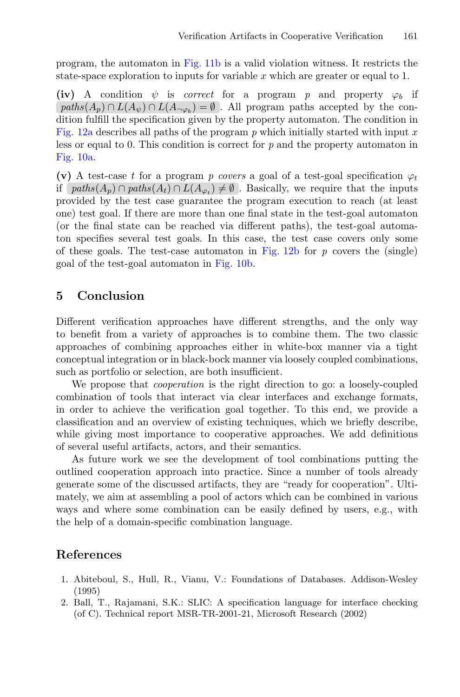program, the automaton in [Fig. 11b](#page-16-0) is a valid violation witness. It restricts the state-space exploration to inputs for variable x which are greater or equal to 1.

**(iv)** A condition  $\psi$  is *correct* for a program *p* and property  $\varphi_b$  if *paths*( $A_p$ ) ∩  $L(A_{\psi}) \cap L(A_{\neg \varphi_b}) = \emptyset$ . All program paths accepted by the condition fulfill the specification given by the property automaton. The condition in [Fig. 12a](#page-17-0) describes all paths of the program *<sup>p</sup>* which initially started with input x less or equal to 0. This condition is correct for *p* and the property automaton in [Fig. 10a.](#page-15-0)

(v) A test-case t for a program p covers a goal of a test-goal specification  $\varphi_t$ if *paths*( $A_p$ ) ∩ *paths*( $A_t$ ) ∩  $L(A_{\varphi_t}) \neq \emptyset$ . Basically, we require that the inputs<br>provided by the test case guarantee the program execution to reach (at least provided by the test case guarantee the program execution to reach (at least one) test goal. If there are more than one final state in the test-goal automaton (or the final state can be reached via different paths), the test-goal automaton specifies several test goals. In this case, the test case covers only some of these goals. The test-case automaton in [Fig. 12b](#page-17-0) for *p* covers the (single) goal of the test-goal automaton in [Fig. 10b.](#page-15-0)

## **5 Conclusion**

Different verification approaches have different strengths, and the only way to benefit from a variety of approaches is to combine them. The two classic approaches of combining approaches either in white-box manner via a tight conceptual integration or in black-bock manner via loosely coupled combinations, such as portfolio or selection, are both insufficient.

We propose that *cooperation* is the right direction to go: a loosely-coupled combination of tools that interact via clear interfaces and exchange formats, in order to achieve the verification goal together. To this end, we provide a classification and an overview of existing techniques, which we briefly describe, while giving most importance to cooperative approaches. We add definitions of several useful artifacts, actors, and their semantics.

As future work we see the development of tool combinations putting the outlined cooperation approach into practice. Since a number of tools already generate some of the discussed artifacts, they are "ready for cooperation". Ultimately, we aim at assembling a pool of actors which can be combined in various ways and where some combination can be easily defined by users, e.g., with the help of a domain-specific combination language.

# **References**

- <span id="page-18-1"></span>1. Abiteboul, S., Hull, R., Vianu, V.: Foundations of Databases. Addison-Wesley (1995)
- <span id="page-18-0"></span>2. Ball, T., Rajamani, S.K.: SLIC: A specification language for interface checking (of C). Technical report MSR-TR-2001-21, Microsoft Research (2002)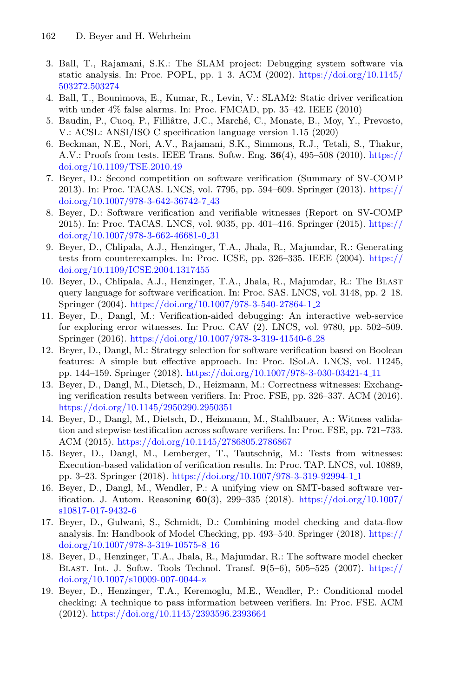- <span id="page-19-10"></span>3. Ball, T., Rajamani, S.K.: The SLAM project: Debugging system software via static analysis. In: Proc. POPL, pp. 1–3. ACM (2002). [https://doi.org/10.1145/](https://doi.org/10.1145/503272.503274) [503272.503274](https://doi.org/10.1145/503272.503274)
- <span id="page-19-13"></span>4. Ball, T., Bounimova, E., Kumar, R., Levin, V.: SLAM2: Static driver verification with under 4% false alarms. In: Proc. FMCAD, pp. 35–42. IEEE (2010)
- <span id="page-19-8"></span>5. Baudin, P., Cuoq, P., Filliâtre, J.C., Marché, C., Monate, B., Moy, Y., Prevosto, V.: ACSL: ANSI/ISO C specification language version 1.15 (2020)
- <span id="page-19-16"></span>6. Beckman, N.E., Nori, A.V., Rajamani, S.K., Simmons, R.J., Tetali, S., Thakur, A.V.: Proofs from tests. IEEE Trans. Softw. Eng. **36**(4), 495–508 (2010). [https://](https://doi.org/10.1109/TSE.2010.49) [doi.org/10.1109/TSE.2010.49](https://doi.org/10.1109/TSE.2010.49)
- <span id="page-19-14"></span>7. Beyer, D.: Second competition on software verification (Summary of SV-COMP 2013). In: Proc. TACAS. LNCS, vol. 7795, pp. 594–609. Springer (2013). [https://](https://doi.org/10.1007/978-3-642-36742-7_43) [doi.org/10.1007/978-3-642-36742-7](https://doi.org/10.1007/978-3-642-36742-7_43) 43
- <span id="page-19-3"></span>8. Beyer, D.: Software verification and verifiable witnesses (Report on SV-COMP 2015). In: Proc. TACAS. LNCS, vol. 9035, pp. 401–416. Springer (2015). [https://](https://doi.org/10.1007/978-3-662-46681-0_31) [doi.org/10.1007/978-3-662-46681-0](https://doi.org/10.1007/978-3-662-46681-0_31)<sub>-31</sub>
- <span id="page-19-6"></span>9. Beyer, D., Chlipala, A.J., Henzinger, T.A., Jhala, R., Majumdar, R.: Generating tests from counterexamples. In: Proc. ICSE, pp. 326–335. IEEE (2004). [https://](https://doi.org/10.1109/ICSE.2004.1317455) [doi.org/10.1109/ICSE.2004.1317455](https://doi.org/10.1109/ICSE.2004.1317455)
- <span id="page-19-9"></span>10. Beyer, D., Chlipala, A.J., Henzinger, T.A., Jhala, R., Majumdar, R.: The Blast query language for software verification. In: Proc. SAS. LNCS, vol. 3148, pp. 2–18. Springer (2004). [https://doi.org/10.1007/978-3-540-27864-1](https://doi.org/10.1007/978-3-540-27864-1_2) 2
- <span id="page-19-2"></span>11. Beyer, D., Dangl, M.: Verification-aided debugging: An interactive web-service for exploring error witnesses. In: Proc. CAV (2). LNCS, vol. 9780, pp. 502–509. Springer (2016). [https://doi.org/10.1007/978-3-319-41540-6](https://doi.org/10.1007/978-3-319-41540-6_28) 28
- <span id="page-19-15"></span>12. Beyer, D., Dangl, M.: Strategy selection for software verification based on Boolean features: A simple but effective approach. In: Proc. ISoLA. LNCS, vol. 11245, pp. 144–159. Springer (2018). [https://doi.org/10.1007/978-3-030-03421-4](https://doi.org/10.1007/978-3-030-03421-4_11) 11
- <span id="page-19-5"></span>13. Beyer, D., Dangl, M., Dietsch, D., Heizmann, M.: Correctness witnesses: Exchanging verification results between verifiers. In: Proc. FSE, pp. 326–337. ACM (2016). <https://doi.org/10.1145/2950290.2950351>
- <span id="page-19-4"></span>14. Beyer, D., Dangl, M., Dietsch, D., Heizmann, M., Stahlbauer, A.: Witness validation and stepwise testification across software verifiers. In: Proc. FSE, pp. 721–733. ACM (2015). <https://doi.org/10.1145/2786805.2786867>
- <span id="page-19-12"></span>15. Beyer, D., Dangl, M., Lemberger, T., Tautschnig, M.: Tests from witnesses: Execution-based validation of verification results. In: Proc. TAP. LNCS, vol. 10889, pp. 3–23. Springer (2018). [https://doi.org/10.1007/978-3-319-92994-1](https://doi.org/10.1007/978-3-319-92994-1_1) 1
- <span id="page-19-0"></span>16. Beyer, D., Dangl, M., Wendler, P.: A unifying view on SMT-based software verification. J. Autom. Reasoning **60**(3), 299–335 (2018). [https://doi.org/10.1007/](https://doi.org/10.1007/s10817-017-9432-6) [s10817-017-9432-6](https://doi.org/10.1007/s10817-017-9432-6)
- <span id="page-19-1"></span>17. Beyer, D., Gulwani, S., Schmidt, D.: Combining model checking and data-flow analysis. In: Handbook of Model Checking, pp. 493–540. Springer (2018). [https://](https://doi.org/10.1007/978-3-319-10575-8_16) [doi.org/10.1007/978-3-319-10575-8](https://doi.org/10.1007/978-3-319-10575-8_16) 16
- <span id="page-19-11"></span>18. Beyer, D., Henzinger, T.A., Jhala, R., Majumdar, R.: The software model checker Blast. Int. J. Softw. Tools Technol. Transf. **9**(5–6), 505–525 (2007). [https://](https://doi.org/10.1007/s10009-007-0044-z) [doi.org/10.1007/s10009-007-0044-z](https://doi.org/10.1007/s10009-007-0044-z)
- <span id="page-19-7"></span>19. Beyer, D., Henzinger, T.A., Keremoglu, M.E., Wendler, P.: Conditional model checking: A technique to pass information between verifiers. In: Proc. FSE. ACM (2012). <https://doi.org/10.1145/2393596.2393664>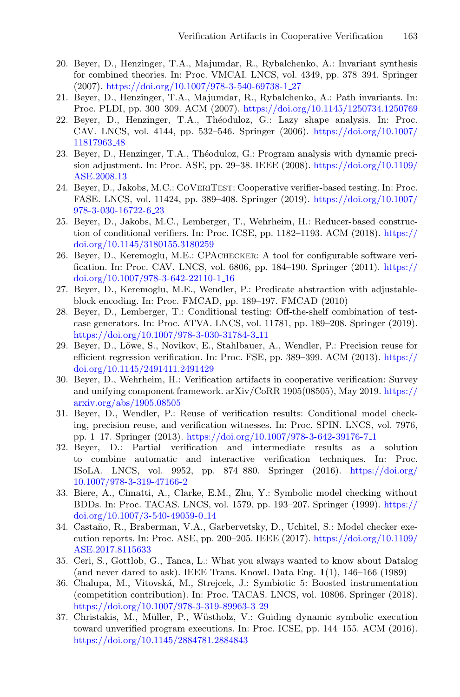- <span id="page-20-12"></span>20. Beyer, D., Henzinger, T.A., Majumdar, R., Rybalchenko, A.: Invariant synthesis for combined theories. In: Proc. VMCAI. LNCS, vol. 4349, pp. 378–394. Springer (2007). [https://doi.org/10.1007/978-3-540-69738-1](https://doi.org/10.1007/978-3-540-69738-1_27) 27
- <span id="page-20-11"></span>21. Beyer, D., Henzinger, T.A., Majumdar, R., Rybalchenko, A.: Path invariants. In: Proc. PLDI, pp. 300–309. ACM (2007). <https://doi.org/10.1145/1250734.1250769>
- <span id="page-20-9"></span>22. Beyer, D., Henzinger, T.A., Théoduloz, G.: Lazy shape analysis. In: Proc. CAV. LNCS, vol. 4144, pp. 532–546. Springer (2006). [https://doi.org/10.1007/](https://doi.org/10.1007/11817963_48) [11817963](https://doi.org/10.1007/11817963_48) 48
- <span id="page-20-4"></span>23. Beyer, D., Henzinger, T.A., Théoduloz, G.: Program analysis with dynamic precision adjustment. In: Proc. ASE, pp. 29–38. IEEE (2008). [https://doi.org/10.1109/](https://doi.org/10.1109/ASE.2008.13) [ASE.2008.13](https://doi.org/10.1109/ASE.2008.13)
- 24. Beyer, D., Jakobs, M.C.: CoVeriTest: Cooperative verifier-based testing. In: Proc. FASE. LNCS, vol. 11424, pp. 389–408. Springer (2019). [https://doi.org/10.1007/](https://doi.org/10.1007/978-3-030-16722-6_23) [978-3-030-16722-6](https://doi.org/10.1007/978-3-030-16722-6_23) 23
- <span id="page-20-6"></span>25. Beyer, D., Jakobs, M.C., Lemberger, T., Wehrheim, H.: Reducer-based construction of conditional verifiers. In: Proc. ICSE, pp. 1182–1193. ACM (2018). [https://](https://doi.org/10.1145/3180155.3180259) [doi.org/10.1145/3180155.3180259](https://doi.org/10.1145/3180155.3180259)
- <span id="page-20-7"></span>26. Beyer, D., Keremoglu, M.E.: CPAchecker: A tool for configurable software verification. In: Proc. CAV. LNCS, vol. 6806, pp. 184–190. Springer (2011). [https://](https://doi.org/10.1007/978-3-642-22110-1_16) [doi.org/10.1007/978-3-642-22110-1](https://doi.org/10.1007/978-3-642-22110-1_16) 16
- <span id="page-20-8"></span>27. Beyer, D., Keremoglu, M.E., Wendler, P.: Predicate abstraction with adjustableblock encoding. In: Proc. FMCAD, pp. 189–197. FMCAD (2010)
- <span id="page-20-15"></span>28. Beyer, D., Lemberger, T.: Conditional testing: Off-the-shelf combination of testcase generators. In: Proc. ATVA. LNCS, vol. 11781, pp. 189–208. Springer (2019). [https://doi.org/10.1007/978-3-030-31784-3](https://doi.org/10.1007/978-3-030-31784-3_11)<sub>-11</sub>
- <span id="page-20-5"></span>29. Beyer, D., Löwe, S., Novikov, E., Stahlbauer, A., Wendler, P.: Precision reuse for efficient regression verification. In: Proc. FSE, pp. 389–399. ACM (2013). [https://](https://doi.org/10.1145/2491411.2491429) [doi.org/10.1145/2491411.2491429](https://doi.org/10.1145/2491411.2491429)
- <span id="page-20-1"></span>30. Beyer, D., Wehrheim, H.: Verification artifacts in cooperative verification: Survey and unifying component framework. arXiv/CoRR 1905(08505), May 2019. [https://](https://arxiv.org/abs/1905.08505) [arxiv.org/abs/1905.08505](https://arxiv.org/abs/1905.08505)
- <span id="page-20-3"></span>31. Beyer, D., Wendler, P.: Reuse of verification results: Conditional model checking, precision reuse, and verification witnesses. In: Proc. SPIN. LNCS, vol. 7976, pp. 1–17. Springer (2013). [https://doi.org/10.1007/978-3-642-39176-7](https://doi.org/10.1007/978-3-642-39176-7_1) 1
- <span id="page-20-14"></span>32. Beyer, D.: Partial verification and intermediate results as a solution to combine automatic and interactive verification techniques. In: Proc. ISoLA. LNCS, vol. 9952, pp. 874–880. Springer (2016). [https://doi.org/](https://doi.org/10.1007/978-3-319-47166-2) [10.1007/978-3-319-47166-2](https://doi.org/10.1007/978-3-319-47166-2)
- <span id="page-20-0"></span>33. Biere, A., Cimatti, A., Clarke, E.M., Zhu, Y.: Symbolic model checking without BDDs. In: Proc. TACAS. LNCS, vol. 1579, pp. 193–207. Springer (1999). [https://](https://doi.org/10.1007/3-540-49059-0_14) [doi.org/10.1007/3-540-49059-0](https://doi.org/10.1007/3-540-49059-0_14) 14
- <span id="page-20-2"></span>34. Castaño, R., Braberman, V.A., Garbervetsky, D., Uchitel, S.: Model checker execution reports. In: Proc. ASE, pp. 200–205. IEEE (2017). [https://doi.org/10.1109/](https://doi.org/10.1109/ASE.2017.8115633) [ASE.2017.8115633](https://doi.org/10.1109/ASE.2017.8115633)
- <span id="page-20-13"></span>35. Ceri, S., Gottlob, G., Tanca, L.: What you always wanted to know about Datalog (and never dared to ask). IEEE Trans. Knowl. Data Eng. **1**(1), 146–166 (1989)
- <span id="page-20-10"></span>36. Chalupa, M., Vitovsk´a, M., Strejcek, J.: Symbiotic 5: Boosted instrumentation (competition contribution). In: Proc. TACAS. LNCS, vol. 10806. Springer (2018). [https://doi.org/10.1007/978-3-319-89963-3](https://doi.org/10.1007/978-3-319-89963-3_29) 29
- 37. Christakis, M., Müller, P., Wüstholz, V.: Guiding dynamic symbolic execution toward unverified program executions. In: Proc. ICSE, pp. 144–155. ACM (2016). <https://doi.org/10.1145/2884781.2884843>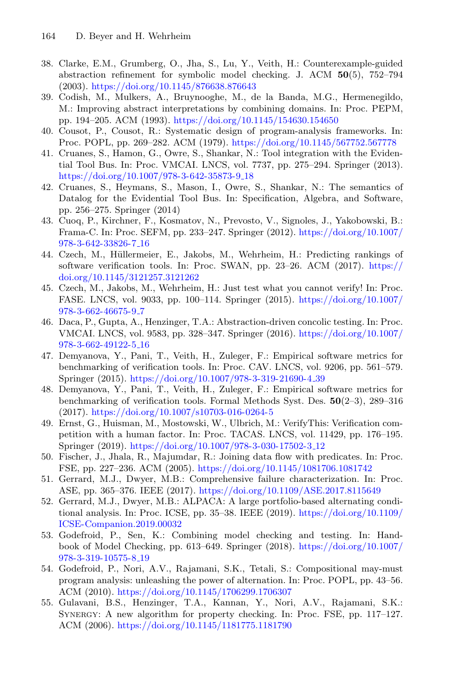- <span id="page-21-0"></span>38. Clarke, E.M., Grumberg, O., Jha, S., Lu, Y., Veith, H.: Counterexample-guided abstraction refinement for symbolic model checking. J. ACM **50**(5), 752–794 (2003). <https://doi.org/10.1145/876638.876643>
- <span id="page-21-10"></span>39. Codish, M., Mulkers, A., Bruynooghe, M., de la Banda, M.G., Hermenegildo, M.: Improving abstract interpretations by combining domains. In: Proc. PEPM, pp. 194–205. ACM (1993). <https://doi.org/10.1145/154630.154650>
- <span id="page-21-9"></span>40. Cousot, P., Cousot, R.: Systematic design of program-analysis frameworks. In: Proc. POPL, pp. 269–282. ACM (1979). <https://doi.org/10.1145/567752.567778>
- <span id="page-21-16"></span>41. Cruanes, S., Hamon, G., Owre, S., Shankar, N.: Tool integration with the Evidential Tool Bus. In: Proc. VMCAI. LNCS, vol. 7737, pp. 275–294. Springer (2013). [https://doi.org/10.1007/978-3-642-35873-9](https://doi.org/10.1007/978-3-642-35873-9_18) 18
- <span id="page-21-17"></span>42. Cruanes, S., Heymans, S., Mason, I., Owre, S., Shankar, N.: The semantics of Datalog for the Evidential Tool Bus. In: Specification, Algebra, and Software, pp. 256–275. Springer (2014)
- <span id="page-21-11"></span>43. Cuoq, P., Kirchner, F., Kosmatov, N., Prevosto, V., Signoles, J., Yakobowski, B.: Frama-C. In: Proc. SEFM, pp. 233–247. Springer (2012). [https://doi.org/10.1007/](https://doi.org/10.1007/978-3-642-33826-7_16) [978-3-642-33826-7](https://doi.org/10.1007/978-3-642-33826-7_16) 16
- <span id="page-21-6"></span>44. Czech, M., Hüllermeier, E., Jakobs, M., Wehrheim, H.: Predicting rankings of software verification tools. In: Proc. SWAN, pp. 23–26. ACM (2017). [https://](https://doi.org/10.1145/3121257.3121262) [doi.org/10.1145/3121257.3121262](https://doi.org/10.1145/3121257.3121262)
- <span id="page-21-2"></span>45. Czech, M., Jakobs, M., Wehrheim, H.: Just test what you cannot verify! In: Proc. FASE. LNCS, vol. 9033, pp. 100–114. Springer (2015). [https://doi.org/10.1007/](https://doi.org/10.1007/978-3-662-46675-9_7) [978-3-662-46675-9](https://doi.org/10.1007/978-3-662-46675-9_7) 7
- <span id="page-21-3"></span>46. Daca, P., Gupta, A., Henzinger, T.A.: Abstraction-driven concolic testing. In: Proc. VMCAI. LNCS, vol. 9583, pp. 328–347. Springer (2016). [https://doi.org/10.1007/](https://doi.org/10.1007/978-3-662-49122-5_16) [978-3-662-49122-5](https://doi.org/10.1007/978-3-662-49122-5_16) 16
- <span id="page-21-4"></span>47. Demyanova, Y., Pani, T., Veith, H., Zuleger, F.: Empirical software metrics for benchmarking of verification tools. In: Proc. CAV. LNCS, vol. 9206, pp. 561–579. Springer (2015). [https://doi.org/10.1007/978-3-319-21690-4](https://doi.org/10.1007/978-3-319-21690-4_39) 39
- <span id="page-21-5"></span>48. Demyanova, Y., Pani, T., Veith, H., Zuleger, F.: Empirical software metrics for benchmarking of verification tools. Formal Methods Syst. Des. **50**(2–3), 289–316 (2017). <https://doi.org/10.1007/s10703-016-0264-5>
- <span id="page-21-1"></span>49. Ernst, G., Huisman, M., Mostowski, W., Ulbrich, M.: VerifyThis: Verification competition with a human factor. In: Proc. TACAS. LNCS, vol. 11429, pp. 176–195. Springer (2019). [https://doi.org/10.1007/978-3-030-17502-3](https://doi.org/10.1007/978-3-030-17502-3_12) 12
- <span id="page-21-12"></span>50. Fischer, J., Jhala, R., Majumdar, R.: Joining data flow with predicates. In: Proc. FSE, pp. 227–236. ACM (2005). <https://doi.org/10.1145/1081706.1081742>
- <span id="page-21-14"></span>51. Gerrard, M.J., Dwyer, M.B.: Comprehensive failure characterization. In: Proc. ASE, pp. 365–376. IEEE (2017). <https://doi.org/10.1109/ASE.2017.8115649>
- <span id="page-21-15"></span>52. Gerrard, M.J., Dwyer, M.B.: ALPACA: A large portfolio-based alternating conditional analysis. In: Proc. ICSE, pp. 35–38. IEEE (2019). [https://doi.org/10.1109/](https://doi.org/10.1109/ICSE-Companion.2019.00032) [ICSE-Companion.2019.00032](https://doi.org/10.1109/ICSE-Companion.2019.00032)
- <span id="page-21-13"></span>53. Godefroid, P., Sen, K.: Combining model checking and testing. In: Handbook of Model Checking, pp. 613–649. Springer (2018). [https://doi.org/10.1007/](https://doi.org/10.1007/978-3-319-10575-8_19) [978-3-319-10575-8](https://doi.org/10.1007/978-3-319-10575-8_19) 19
- <span id="page-21-7"></span>54. Godefroid, P., Nori, A.V., Rajamani, S.K., Tetali, S.: Compositional may-must program analysis: unleashing the power of alternation. In: Proc. POPL, pp. 43–56. ACM (2010). <https://doi.org/10.1145/1706299.1706307>
- <span id="page-21-8"></span>55. Gulavani, B.S., Henzinger, T.A., Kannan, Y., Nori, A.V., Rajamani, S.K.: Synergy: A new algorithm for property checking. In: Proc. FSE, pp. 117–127. ACM (2006). <https://doi.org/10.1145/1181775.1181790>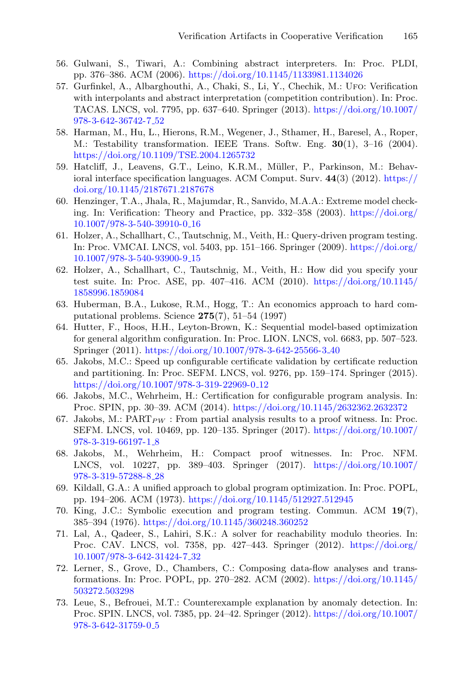- <span id="page-22-10"></span>56. Gulwani, S., Tiwari, A.: Combining abstract interpreters. In: Proc. PLDI, pp. 376–386. ACM (2006). <https://doi.org/10.1145/1133981.1134026>
- <span id="page-22-9"></span>57. Gurfinkel, A., Albarghouthi, A., Chaki, S., Li, Y., Chechik, M.: Ufo: Verification with interpolants and abstract interpretation (competition contribution). In: Proc. TACAS. LNCS, vol. 7795, pp. 637–640. Springer (2013). [https://doi.org/10.1007/](https://doi.org/10.1007/978-3-642-36742-7_52) [978-3-642-36742-7](https://doi.org/10.1007/978-3-642-36742-7_52) 52
- <span id="page-22-15"></span>58. Harman, M., Hu, L., Hierons, R.M., Wegener, J., Sthamer, H., Baresel, A., Roper, M.: Testability transformation. IEEE Trans. Softw. Eng. **30**(1), 3–16 (2004). <https://doi.org/10.1109/TSE.2004.1265732>
- <span id="page-22-4"></span>59. Hatcliff, J., Leavens, G.T., Leino, K.R.M., Müller, P., Parkinson, M.: Behavioral interface specification languages. ACM Comput. Surv. **44**(3) (2012). [https://](https://doi.org/10.1145/2187671.2187678) [doi.org/10.1145/2187671.2187678](https://doi.org/10.1145/2187671.2187678)
- <span id="page-22-3"></span>60. Henzinger, T.A., Jhala, R., Majumdar, R., Sanvido, M.A.A.: Extreme model checking. In: Verification: Theory and Practice, pp. 332–358 (2003). [https://doi.org/](https://doi.org/10.1007/978-3-540-39910-0_16) [10.1007/978-3-540-39910-0](https://doi.org/10.1007/978-3-540-39910-0_16) 16
- <span id="page-22-13"></span>61. Holzer, A., Schallhart, C., Tautschnig, M., Veith, H.: Query-driven program testing. In: Proc. VMCAI. LNCS, vol. 5403, pp. 151–166. Springer (2009). [https://doi.org/](https://doi.org/10.1007/978-3-540-93900-9_15) [10.1007/978-3-540-93900-9](https://doi.org/10.1007/978-3-540-93900-9_15) 15
- <span id="page-22-14"></span>62. Holzer, A., Schallhart, C., Tautschnig, M., Veith, H.: How did you specify your test suite. In: Proc. ASE, pp. 407–416. ACM (2010). [https://doi.org/10.1145/](https://doi.org/10.1145/1858996.1859084) [1858996.1859084](https://doi.org/10.1145/1858996.1859084)
- <span id="page-22-6"></span>63. Huberman, B.A., Lukose, R.M., Hogg, T.: An economics approach to hard computational problems. Science **275**(7), 51–54 (1997)
- <span id="page-22-5"></span>64. Hutter, F., Hoos, H.H., Leyton-Brown, K.: Sequential model-based optimization for general algorithm configuration. In: Proc. LION. LNCS, vol. 6683, pp. 507–523. Springer (2011). [https://doi.org/10.1007/978-3-642-25566-3](https://doi.org/10.1007/978-3-642-25566-3_40) 40
- 65. Jakobs, M.C.: Speed up configurable certificate validation by certificate reduction and partitioning. In: Proc. SEFM. LNCS, vol. 9276, pp. 159–174. Springer (2015). [https://doi.org/10.1007/978-3-319-22969-0](https://doi.org/10.1007/978-3-319-22969-0_12)<sub>-</sub>12
- <span id="page-22-2"></span>66. Jakobs, M.C., Wehrheim, H.: Certification for configurable program analysis. In: Proc. SPIN, pp. 30–39. ACM (2014). <https://doi.org/10.1145/2632362.2632372>
- <span id="page-22-7"></span>67. Jakobs, M.: PART*PW* : From partial analysis results to a proof witness. In: Proc. SEFM. LNCS, vol. 10469, pp. 120–135. Springer (2017). [https://doi.org/10.1007/](https://doi.org/10.1007/978-3-319-66197-1_8) [978-3-319-66197-1](https://doi.org/10.1007/978-3-319-66197-1_8) 8
- 68. Jakobs, M., Wehrheim, H.: Compact proof witnesses. In: Proc. NFM. LNCS, vol. 10227, pp. 389–403. Springer (2017). [https://doi.org/10.1007/](https://doi.org/10.1007/978-3-319-57288-8_28) [978-3-319-57288-8](https://doi.org/10.1007/978-3-319-57288-8_28) 28
- <span id="page-22-0"></span>69. Kildall, G.A.: A unified approach to global program optimization. In: Proc. POPL, pp. 194–206. ACM (1973). <https://doi.org/10.1145/512927.512945>
- <span id="page-22-1"></span>70. King, J.C.: Symbolic execution and program testing. Commun. ACM **19**(7), 385–394 (1976). <https://doi.org/10.1145/360248.360252>
- <span id="page-22-8"></span>71. Lal, A., Qadeer, S., Lahiri, S.K.: A solver for reachability modulo theories. In: Proc. CAV. LNCS, vol. 7358, pp. 427–443. Springer (2012). [https://doi.org/](https://doi.org/10.1007/978-3-642-31424-7_32) [10.1007/978-3-642-31424-7](https://doi.org/10.1007/978-3-642-31424-7_32) 32
- <span id="page-22-11"></span>72. Lerner, S., Grove, D., Chambers, C.: Composing data-flow analyses and transformations. In: Proc. POPL, pp. 270–282. ACM (2002). [https://doi.org/10.1145/](https://doi.org/10.1145/503272.503298) [503272.503298](https://doi.org/10.1145/503272.503298)
- <span id="page-22-12"></span>73. Leue, S., Befrouei, M.T.: Counterexample explanation by anomaly detection. In: Proc. SPIN. LNCS, vol. 7385, pp. 24–42. Springer (2012). [https://doi.org/10.1007/](https://doi.org/10.1007/978-3-642-31759-0_5) [978-3-642-31759-0](https://doi.org/10.1007/978-3-642-31759-0_5) 5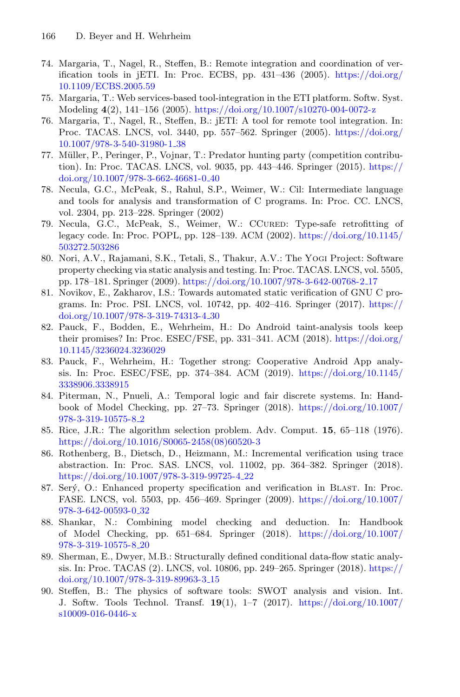- <span id="page-23-8"></span>74. Margaria, T., Nagel, R., Steffen, B.: Remote integration and coordination of verification tools in jETI. In: Proc. ECBS, pp.  $431-436$  (2005). [https://doi.org/](https://doi.org/10.1109/ECBS.2005.59) [10.1109/ECBS.2005.59](https://doi.org/10.1109/ECBS.2005.59)
- 75. Margaria, T.: Web services-based tool-integration in the ETI platform. Softw. Syst. Modeling **4**(2), 141–156 (2005). <https://doi.org/10.1007/s10270-004-0072-z>
- <span id="page-23-9"></span>76. Margaria, T., Nagel, R., Steffen, B.: jETI: A tool for remote tool integration. In: Proc. TACAS. LNCS, vol. 3440, pp. 557–562. Springer (2005). [https://doi.org/](https://doi.org/10.1007/978-3-540-31980-1_38) [10.1007/978-3-540-31980-1](https://doi.org/10.1007/978-3-540-31980-1_38) 38
- <span id="page-23-6"></span>77. Müller, P., Peringer, P., Vojnar, T.: Predator hunting party (competition contribution). In: Proc. TACAS. LNCS, vol. 9035, pp. 443–446. Springer (2015). [https://](https://doi.org/10.1007/978-3-662-46681-0_40) [doi.org/10.1007/978-3-662-46681-0](https://doi.org/10.1007/978-3-662-46681-0_40) 40
- <span id="page-23-3"></span>78. Necula, G.C., McPeak, S., Rahul, S.P., Weimer, W.: Cil: Intermediate language and tools for analysis and transformation of C programs. In: Proc. CC. LNCS, vol. 2304, pp. 213–228. Springer (2002)
- <span id="page-23-15"></span>79. Necula, G.C., McPeak, S., Weimer, W.: CCURED: Type-safe retrofitting of legacy code. In: Proc. POPL, pp. 128–139. ACM (2002). [https://doi.org/10.1145/](https://doi.org/10.1145/503272.503286) [503272.503286](https://doi.org/10.1145/503272.503286)
- <span id="page-23-5"></span>80. Nori, A.V., Rajamani, S.K., Tetali, S., Thakur, A.V.: The Yogi Project: Software property checking via static analysis and testing. In: Proc. TACAS. LNCS, vol. 5505, pp. 178–181. Springer (2009). [https://doi.org/10.1007/978-3-642-00768-2](https://doi.org/10.1007/978-3-642-00768-2_17) 17
- <span id="page-23-0"></span>81. Novikov, E., Zakharov, I.S.: Towards automated static verification of GNU C programs. In: Proc. PSI. LNCS, vol. 10742, pp. 402–416. Springer (2017). [https://](https://doi.org/10.1007/978-3-319-74313-4_30) [doi.org/10.1007/978-3-319-74313-4](https://doi.org/10.1007/978-3-319-74313-4_30) 30
- <span id="page-23-12"></span>82. Pauck, F., Bodden, E., Wehrheim, H.: Do Android taint-analysis tools keep their promises? In: Proc. ESEC/FSE, pp. 331–341. ACM (2018). [https://doi.org/](https://doi.org/10.1145/3236024.3236029) [10.1145/3236024.3236029](https://doi.org/10.1145/3236024.3236029)
- <span id="page-23-11"></span>83. Pauck, F., Wehrheim, H.: Together strong: Cooperative Android App analysis. In: Proc. ESEC/FSE, pp. 374–384. ACM (2019). [https://doi.org/10.1145/](https://doi.org/10.1145/3338906.3338915) [3338906.3338915](https://doi.org/10.1145/3338906.3338915)
- <span id="page-23-14"></span>84. Piterman, N., Pnueli, A.: Temporal logic and fair discrete systems. In: Handbook of Model Checking, pp. 27–73. Springer (2018). [https://doi.org/10.1007/](https://doi.org/10.1007/978-3-319-10575-8_2) [978-3-319-10575-8](https://doi.org/10.1007/978-3-319-10575-8_2) 2
- <span id="page-23-4"></span>85. Rice, J.R.: The algorithm selection problem. Adv. Comput. **15**, 65–118 (1976). [https://doi.org/10.1016/S0065-2458\(08\)60520-3](https://doi.org/10.1016/S0065-2458(08)60520-3)
- <span id="page-23-1"></span>86. Rothenberg, B., Dietsch, D., Heizmann, M.: Incremental verification using trace abstraction. In: Proc. SAS. LNCS, vol. 11002, pp. 364–382. Springer (2018). [https://doi.org/10.1007/978-3-319-99725-4](https://doi.org/10.1007/978-3-319-99725-4_22) 22
- <span id="page-23-2"></span>87. Serý, O.: Enhanced property specification and verification in BLAST. In: Proc. FASE. LNCS, vol. 5503, pp. 456–469. Springer (2009). [https://doi.org/10.1007/](https://doi.org/10.1007/978-3-642-00593-0_32) [978-3-642-00593-0](https://doi.org/10.1007/978-3-642-00593-0_32) 32
- <span id="page-23-7"></span>88. Shankar, N.: Combining model checking and deduction. In: Handbook of Model Checking, pp. 651–684. Springer (2018). [https://doi.org/10.1007/](https://doi.org/10.1007/978-3-319-10575-8_20) [978-3-319-10575-8](https://doi.org/10.1007/978-3-319-10575-8_20) 20
- <span id="page-23-13"></span>89. Sherman, E., Dwyer, M.B.: Structurally defined conditional data-flow static analysis. In: Proc. TACAS (2). LNCS, vol. 10806, pp. 249–265. Springer (2018). [https://](https://doi.org/10.1007/978-3-319-89963-3_15) [doi.org/10.1007/978-3-319-89963-3](https://doi.org/10.1007/978-3-319-89963-3_15) 15
- <span id="page-23-10"></span>90. Steffen, B.: The physics of software tools: SWOT analysis and vision. Int. J. Softw. Tools Technol. Transf. **19**(1), 1–7 (2017). [https://doi.org/10.1007/](https://doi.org/10.1007/s10009-016-0446-x) [s10009-016-0446-x](https://doi.org/10.1007/s10009-016-0446-x)